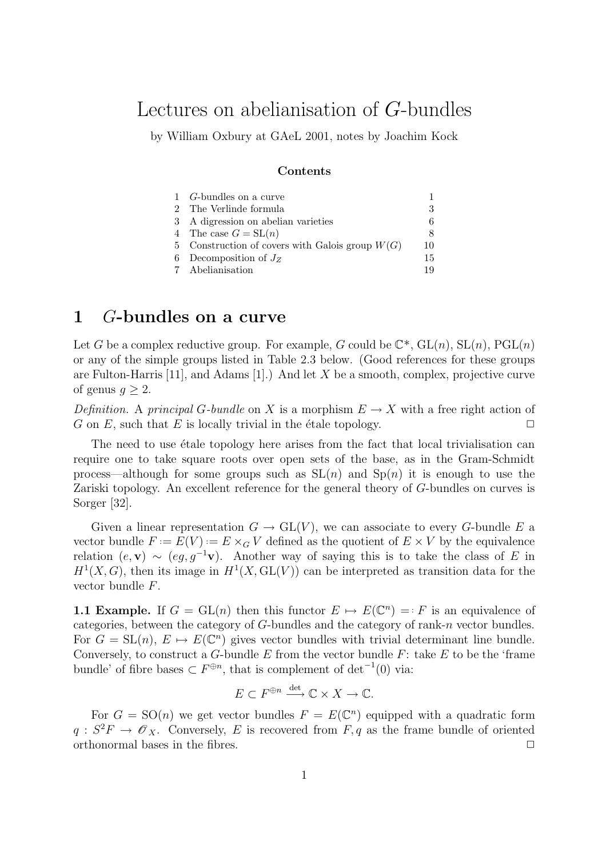# Lectures on abelianisation of G-bundles

by William Oxbury at GAeL 2001, notes by Joachim Kock

#### Contents

| 1 <i>G</i> -bundles on a curve                    |    |
|---------------------------------------------------|----|
| 2 The Verlinde formula                            | 3  |
| 3 A digression on abelian varieties               | 6  |
| 4 The case $G = SL(n)$                            | 8  |
| 5 Construction of covers with Galois group $W(G)$ | 10 |
| 6 Decomposition of $J_z$                          | 15 |
| 7 Abelianisation                                  | 19 |

# 1 G-bundles on a curve

Let G be a complex reductive group. For example, G could be  $\mathbb{C}^*$ ,  $GL(n)$ ,  $SL(n)$ ,  $PGL(n)$ or any of the simple groups listed in Table 2.3 below. (Good references for these groups are Fulton-Harris  $[11]$ , and Adams  $[1]$ .) And let X be a smooth, complex, projective curve of genus  $g \geq 2$ .

Definition. A principal G-bundle on X is a morphism  $E \to X$  with a free right action of G on E, such that E is locally trivial in the étale topology.

The need to use  $\acute{e}$ tale topology here arises from the fact that local trivialisation can require one to take square roots over open sets of the base, as in the Gram-Schmidt process—although for some groups such as  $SL(n)$  and  $Sp(n)$  it is enough to use the Zariski topology. An excellent reference for the general theory of G-bundles on curves is Sorger [32].

Given a linear representation  $G \to GL(V)$ , we can associate to every G-bundle E a vector bundle  $F := E(V) := E \times_G V$  defined as the quotient of  $E \times V$  by the equivalence relation  $(e, \mathbf{v}) \sim (eg, g^{-1}\mathbf{v})$ . Another way of saying this is to take the class of E in  $H<sup>1</sup>(X, G)$ , then its image in  $H<sup>1</sup>(X, GL(V))$  can be interpreted as transition data for the vector bundle F.

**1.1 Example.** If  $G = GL(n)$  then this functor  $E \mapsto E(\mathbb{C}^n) = F$  is an equivalence of categories, between the category of G-bundles and the category of rank-n vector bundles. For  $G = SL(n)$ ,  $E \mapsto E(\mathbb{C}^n)$  gives vector bundles with trivial determinant line bundle. Conversely, to construct a G-bundle E from the vector bundle  $F$ : take E to be the 'frame bundle' of fibre bases  $\subset F^{\oplus n}$ , that is complement of  $\det^{-1}(0)$  via:

$$
E \subset F^{\oplus n} \xrightarrow{\det} \mathbb{C} \times X \to \mathbb{C}.
$$

For  $G = SO(n)$  we get vector bundles  $F = E(\mathbb{C}^n)$  equipped with a quadratic form  $q: S^2F \to \mathscr{O}_X$ . Conversely, E is recovered from F, q as the frame bundle of oriented orthonormal bases in the fibres.  $\Box$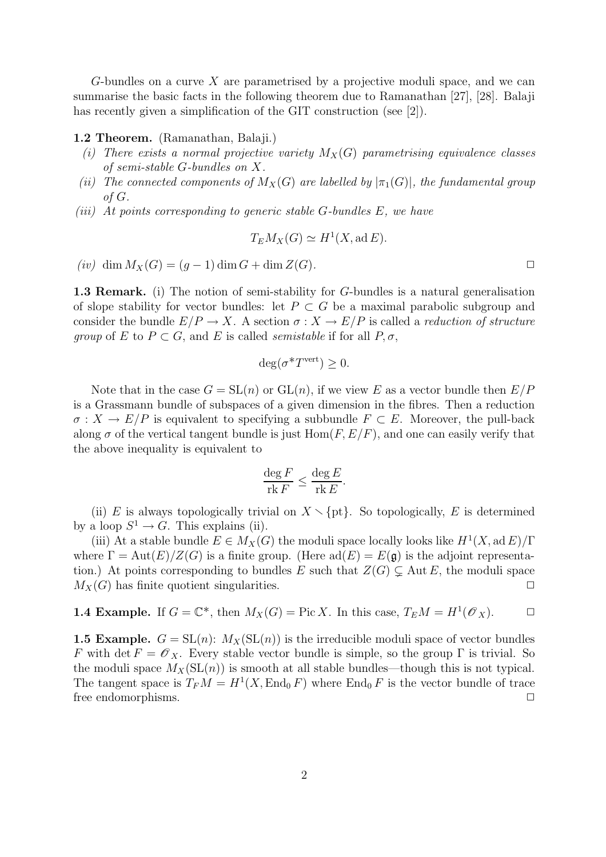G-bundles on a curve X are parametrised by a projective moduli space, and we can summarise the basic facts in the following theorem due to Ramanathan [27], [28]. Balaji has recently given a simplification of the GIT construction (see [2]).

#### 1.2 Theorem. (Ramanathan, Balaji.)

- (i) There exists a normal projective variety  $M_X(G)$  parametrising equivalence classes of semi-stable G-bundles on X.
- (ii) The connected components of  $M_X(G)$  are labelled by  $|\pi_1(G)|$ , the fundamental group of G.
- (iii) At points corresponding to generic stable  $G$ -bundles  $E$ , we have

$$
T_E M_X(G) \simeq H^1(X, \text{ad } E).
$$

 $(iv)$  dim  $M_X(G) = (g-1)$  dim  $G + \dim Z(G)$ .

1.3 Remark. (i) The notion of semi-stability for G-bundles is a natural generalisation of slope stability for vector bundles: let  $P \subset G$  be a maximal parabolic subgroup and consider the bundle  $E/P \to X$ . A section  $\sigma : X \to E/P$  is called a *reduction of structure* group of E to  $P \subset G$ , and E is called *semistable* if for all  $P, \sigma$ ,

$$
\deg(\sigma^* T^{\text{vert}}) \ge 0.
$$

Note that in the case  $G = SL(n)$  or  $GL(n)$ , if we view E as a vector bundle then  $E/P$ is a Grassmann bundle of subspaces of a given dimension in the fibres. Then a reduction  $\sigma: X \to E/P$  is equivalent to specifying a subbundle  $F \subset E$ . Moreover, the pull-back along  $\sigma$  of the vertical tangent bundle is just  $\text{Hom}(F, E/F)$ , and one can easily verify that the above inequality is equivalent to

$$
\frac{\deg F}{\operatorname{rk} F} \le \frac{\deg E}{\operatorname{rk} E}.
$$

(ii) E is always topologically trivial on  $X \setminus \{pt\}$ . So topologically, E is determined by a loop  $S^1 \to G$ . This explains (ii).

(iii) At a stable bundle  $E \in M_X(G)$  the moduli space locally looks like  $H^1(X, ad E)/\Gamma$ where  $\Gamma = \text{Aut}(E)/Z(G)$  is a finite group. (Here  $\text{ad}(E) = E(\mathfrak{g})$  is the adjoint representation.) At points corresponding to bundles E such that  $Z(G) \subsetneq \text{Aut } E$ , the moduli space  $M_X(G)$  has finite quotient singularities.

**1.4 Example.** If 
$$
G = \mathbb{C}^*
$$
, then  $M_X(G) = \text{Pic } X$ . In this case,  $T_E M = H^1(\mathcal{O}_X)$ .  $\square$ 

**1.5 Example.**  $G = SL(n)$ :  $M_X(SL(n))$  is the irreducible moduli space of vector bundles F with det  $F = \mathcal{O}_X$ . Every stable vector bundle is simple, so the group  $\Gamma$  is trivial. So the moduli space  $M_X(\mathrm{SL}(n))$  is smooth at all stable bundles—though this is not typical. The tangent space is  $T_F M = H^1(X, \text{End}_0 F)$  where  $\text{End}_0 F$  is the vector bundle of trace free endomorphisms.  $\Box$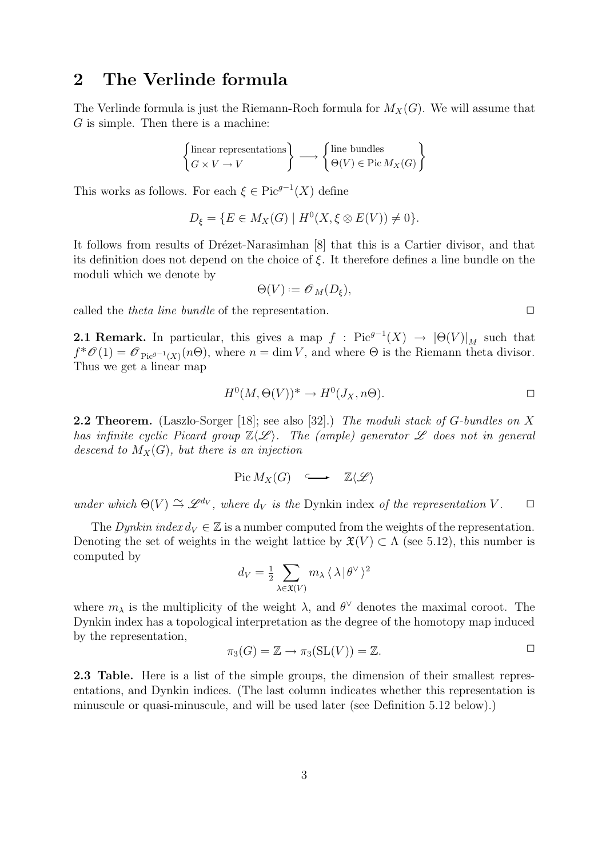# 2 The Verlinde formula

The Verlinde formula is just the Riemann-Roch formula for  $M_X(G)$ . We will assume that G is simple. Then there is a machine:

$$
\begin{Bmatrix} \text{linear representations} \\ G\times V\to V \end{Bmatrix} \longrightarrow \begin{Bmatrix} \text{line bundles} \\ \Theta(V)\in \text{Pic}\, M_X(G) \end{Bmatrix}
$$

This works as follows. For each  $\xi \in Pic^{g-1}(X)$  define

$$
D_{\xi} = \{ E \in M_X(G) \mid H^0(X, \xi \otimes E(V)) \neq 0 \}.
$$

It follows from results of Drézet-Narasimhan [8] that this is a Cartier divisor, and that its definition does not depend on the choice of  $\xi$ . It therefore defines a line bundle on the moduli which we denote by

$$
\Theta(V) := \mathscr{O}_M(D_{\xi}),
$$

called the *theta line bundle* of the representation.  $\Box$ 

**2.1 Remark.** In particular, this gives a map  $f : Pic^{g-1}(X) \rightarrow |\Theta(V)|_M$  such that  $f^*\mathscr{O}(1) = \mathscr{O}_{\text{Pic}^{g-1}(X)}(n\Theta)$ , where  $n = \dim V$ , and where  $\Theta$  is the Riemann theta divisor. Thus we get a linear map

$$
H^0(M, \Theta(V))^* \to H^0(J_X, n\Theta).
$$

2.2 Theorem. (Laszlo-Sorger [18]; see also [32].) The moduli stack of G-bundles on X has infinite cyclic Picard group  $\mathbb{Z}\langle\mathscr{L}\rangle$ . The (ample) generator  $\mathscr L$  does not in general descend to  $M_X(G)$ , but there is an injection

$$
Pic M_X(G) \quad \longrightarrow \quad \mathbb{Z}\langle \mathscr{L} \rangle
$$

under which  $\Theta(V) \cong \mathscr{L}^{d_V}$ , where  $d_V$  is the Dynkin index of the representation V.  $\Box$ 

The Dynkin index  $d_V \in \mathbb{Z}$  is a number computed from the weights of the representation. Denoting the set of weights in the weight lattice by  $\mathfrak{X}(V) \subset \Lambda$  (see 5.12), this number is computed by

$$
d_V = \frac{1}{2} \sum_{\lambda \in \mathfrak{X}(V)} m_{\lambda} \langle \lambda | \theta^{\vee} \rangle^2
$$

where  $m_{\lambda}$  is the multiplicity of the weight  $\lambda$ , and  $\theta^{\vee}$  denotes the maximal coroot. The Dynkin index has a topological interpretation as the degree of the homotopy map induced by the representation,

$$
\pi_3(G) = \mathbb{Z} \to \pi_3(\operatorname{SL}(V)) = \mathbb{Z}.
$$

2.3 Table. Here is a list of the simple groups, the dimension of their smallest representations, and Dynkin indices. (The last column indicates whether this representation is minuscule or quasi-minuscule, and will be used later (see Definition 5.12 below).)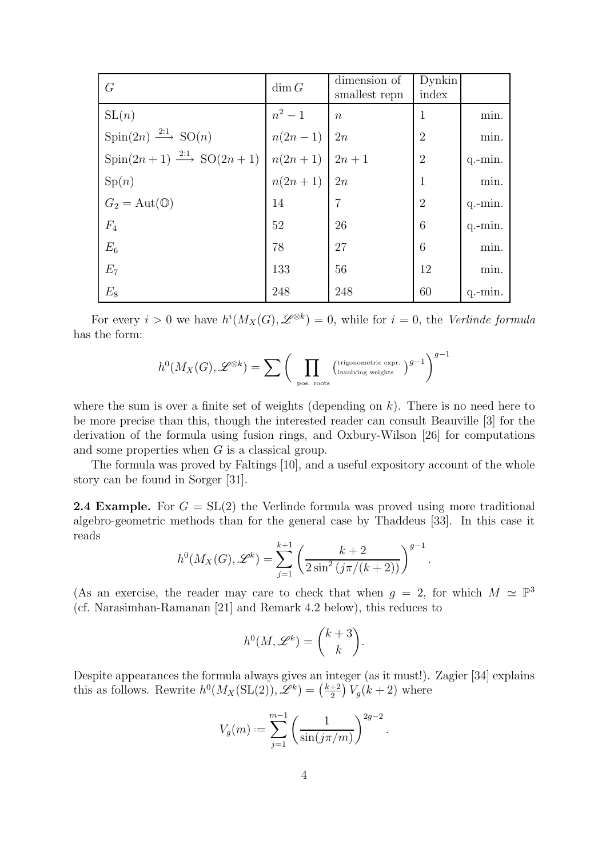| G                                                                                          | $\dim G$         | dimension of     | <b>Dynkin</b><br>index |           |
|--------------------------------------------------------------------------------------------|------------------|------------------|------------------------|-----------|
|                                                                                            |                  | smallest repn    |                        |           |
| SL(n)                                                                                      | $n^2-1$          | $\boldsymbol{n}$ | 1                      | min.      |
| $Spin(2n) \longrightarrow^{\hspace{2mm}2:1} SO(n)$                                         | $n(2n-1)$ 2n     |                  | $\overline{2}$         | min.      |
| $\text{Spin}(2n+1) \stackrel{2:1}{\longrightarrow} \text{SO}(2n+1) \mid n(2n+1) \mid 2n+1$ |                  |                  | $\overline{2}$         | $q.-min.$ |
| Sp(n)                                                                                      | $n(2n+1)$   $2n$ |                  | $\mathbf{1}$           | min.      |
| $G_2 = \text{Aut}(\mathbb{O})$                                                             | 14               | $\overline{7}$   | $\overline{2}$         | $q$ -min. |
| $F_4$                                                                                      | 52               | 26               | 6                      | $q$ -min. |
| $E_6$                                                                                      | 78               | 27               | 6                      | min.      |
| $E_7$                                                                                      | 133              | 56               | 12                     | min.      |
| $E_8$                                                                                      | 248              | 248              | 60                     | $q$ -min. |

For every  $i > 0$  we have  $h^{i}(M_X(G), \mathcal{L}^{\otimes k}) = 0$ , while for  $i = 0$ , the Verlinde formula has the form:

$$
h^0(M_X(G),\mathscr{L}^{\otimes k})=\sum \bigg(\prod_{\text{pos. roots}} \bigl(^{\text{trigonometric expr.}}_{\text{involving weights}}\bigr)^{g-1}\bigg)^{g-1}
$$

where the sum is over a finite set of weights (depending on  $k$ ). There is no need here to be more precise than this, though the interested reader can consult Beauville [3] for the derivation of the formula using fusion rings, and Oxbury-Wilson [26] for computations and some properties when  $G$  is a classical group.

The formula was proved by Faltings [10], and a useful expository account of the whole story can be found in Sorger [31].

**2.4 Example.** For  $G = SL(2)$  the Verlinde formula was proved using more traditional algebro-geometric methods than for the general case by Thaddeus [33]. In this case it reads

$$
h^{0}(M_{X}(G), \mathscr{L}^{k}) = \sum_{j=1}^{k+1} \left( \frac{k+2}{2\sin^{2}(j\pi/(k+2))} \right)^{g-1}.
$$

(As an exercise, the reader may care to check that when  $g = 2$ , for which  $M \simeq \mathbb{P}^3$ (cf. Narasimhan-Ramanan [21] and Remark 4.2 below), this reduces to

$$
h^0(M,\mathscr{L}^k) = \binom{k+3}{k}.
$$

Despite appearances the formula always gives an integer (as it must!). Zagier [34] explains this as follows. Rewrite  $h^0(M_X(\mathrm{SL}(2)), \mathscr{L}^k) = \left(\frac{k+2}{2}\right)$  $\frac{+2}{2}V_g(k+2)$  where

$$
V_g(m) := \sum_{j=1}^{m-1} \left( \frac{1}{\sin(j\pi/m)} \right)^{2g-2}.
$$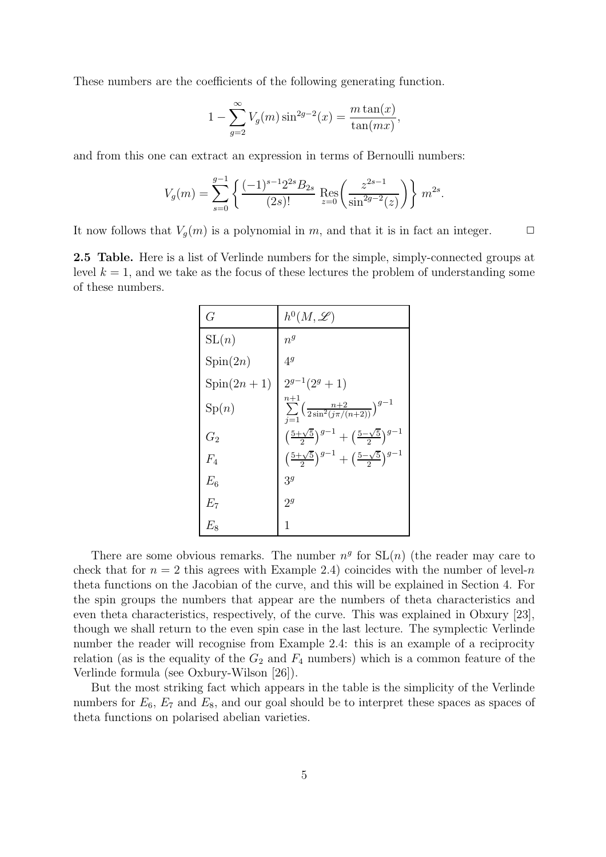These numbers are the coefficients of the following generating function.

$$
1 - \sum_{g=2}^{\infty} V_g(m) \sin^{2g-2}(x) = \frac{m \tan(x)}{\tan(mx)},
$$

and from this one can extract an expression in terms of Bernoulli numbers:

$$
V_g(m) = \sum_{s=0}^{g-1} \left\{ \frac{(-1)^{s-1} 2^{2s} B_{2s}}{(2s)!} \operatorname{Res}_{z=0} \left( \frac{z^{2s-1}}{\sin^{2g-2}(z)} \right) \right\} m^{2s}.
$$

It now follows that  $V_q(m)$  is a polynomial in m, and that it is in fact an integer.  $\Box$ 

2.5 Table. Here is a list of Verlinde numbers for the simple, simply-connected groups at level  $k = 1$ , and we take as the focus of these lectures the problem of understanding some of these numbers.

| G                | $h^0(M,\mathscr{L})$                                                                |
|------------------|-------------------------------------------------------------------------------------|
| SL(n)            | $n^{g}$                                                                             |
| Spin(2n)         | $4^g$                                                                               |
| $Spin(2n+1)$     | $2^{g-1}(2^g+1)$                                                                    |
| $\mathrm{Sp}(n)$ | $n+1$<br>$\sum_{j=1}^{\infty} \left( \frac{n+2}{2\sin^2(j\pi/(n+2))} \right)^{g-1}$ |
| $G_2$            | $\left(\frac{5+\sqrt{5}}{2}\right)^{g-1}+\left(\frac{5-\sqrt{5}}{2}\right)^{g-1}$   |
| $F_4$            | $\left(\frac{5+\sqrt{5}}{2}\right)^{g-1}+\left(\frac{5-\sqrt{5}}{2}\right)^{g-1}$   |
| $E_6$            | 3 <sup>g</sup>                                                                      |
| $E_7\,$          | $2^g$                                                                               |
| $E_{8}$          | 1                                                                                   |

There are some obvious remarks. The number  $n^g$  for  $SL(n)$  (the reader may care to check that for  $n = 2$  this agrees with Example 2.4) coincides with the number of level-n theta functions on the Jacobian of the curve, and this will be explained in Section 4. For the spin groups the numbers that appear are the numbers of theta characteristics and even theta characteristics, respectively, of the curve. This was explained in Obxury [23], though we shall return to the even spin case in the last lecture. The symplectic Verlinde number the reader will recognise from Example 2.4: this is an example of a reciprocity relation (as is the equality of the  $G_2$  and  $F_4$  numbers) which is a common feature of the Verlinde formula (see Oxbury-Wilson [26]).

But the most striking fact which appears in the table is the simplicity of the Verlinde numbers for  $E_6$ ,  $E_7$  and  $E_8$ , and our goal should be to interpret these spaces as spaces of theta functions on polarised abelian varieties.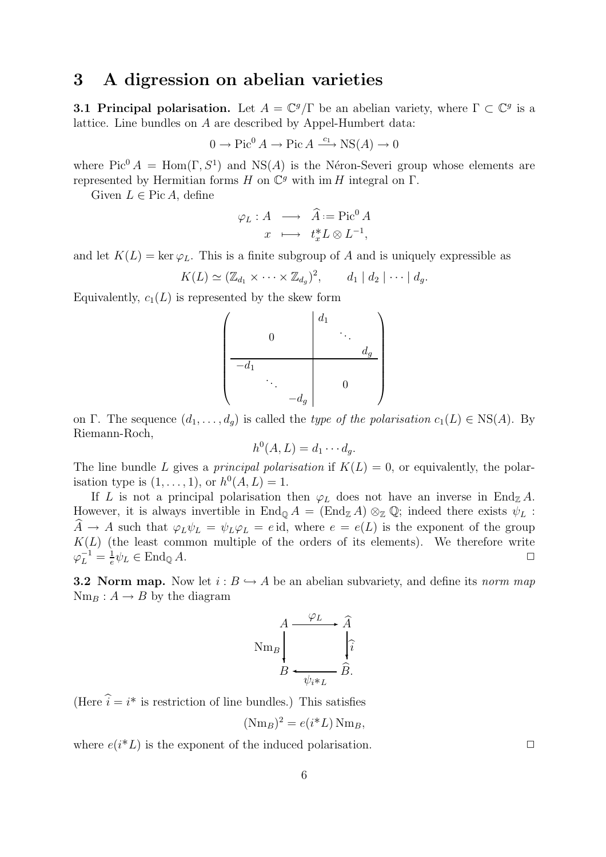#### 3 A digression on abelian varieties

**3.1 Principal polarisation.** Let  $A = \mathbb{C}^g/\Gamma$  be an abelian variety, where  $\Gamma \subset \mathbb{C}^g$  is a lattice. Line bundles on A are described by Appel-Humbert data:

$$
0 \to Pic^0 A \to Pic A \xrightarrow{c_1} NS(A) \to 0
$$

where  $Pic^0 A = Hom(\Gamma, S^1)$  and  $NS(A)$  is the Néron-Severi group whose elements are represented by Hermitian forms  $H$  on  $\mathbb{C}^g$  with im  $H$  integral on  $\Gamma$ .

Given  $L \in \text{Pic } A$ , define

$$
\varphi_L: A \longrightarrow \widehat{A} := \text{Pic}^0 A
$$

$$
x \longmapsto t_x^* L \otimes L^{-1},
$$

and let  $K(L) = \ker \varphi_L$ . This is a finite subgroup of A and is uniquely expressible as

$$
K(L) \simeq (\mathbb{Z}_{d_1} \times \cdots \times \mathbb{Z}_{d_g})^2, \qquad d_1 \mid d_2 \mid \cdots \mid d_g.
$$

Equivalently,  $c_1(L)$  is represented by the skew form

$$
\left(\begin{array}{c|c} & & d_1 & & \\ & & & d_1 & & \\ \hline -d_1 & & & & d_g & \\ & & & & & 0 & \\ & & & & -d_g & & \end{array}\right)
$$

on Γ. The sequence  $(d_1, \ldots, d_q)$  is called the *type of the polarisation*  $c_1(L) \in \text{NS}(A)$ . By Riemann-Roch,

$$
h^0(A, L) = d_1 \cdots d_g.
$$

The line bundle L gives a *principal polarisation* if  $K(L) = 0$ , or equivalently, the polarisation type is  $(1, ..., 1)$ , or  $h^0(A, L) = 1$ .

If L is not a principal polarisation then  $\varphi_L$  does not have an inverse in End<sub>Z</sub>A. However, it is always invertible in  $\text{End}_{\mathbb{Q}} A = (\text{End}_{\mathbb{Z}} A) \otimes_{\mathbb{Z}} \mathbb{Q}$ ; indeed there exists  $\psi_L$ :  $A \to A$  such that  $\varphi_L \psi_L = \psi_L \varphi_L = e \mathrm{id}$ , where  $e = e(L)$  is the exponent of the group  $K(L)$  (the least common multiple of the orders of its elements). We therefore write  $\varphi_L^{-1} = \frac{1}{e}$  $\frac{1}{e}\psi_L \in \text{End}_{\mathbb{Q}} A.$ 

**3.2 Norm map.** Now let  $i : B \hookrightarrow A$  be an abelian subvariety, and define its norm map  $Nm_B: A \rightarrow B$  by the diagram

$$
\text{Nm}_B \left\{\n\begin{array}{c}\n\varphi_L \rightarrow \widehat{A} \\
\downarrow \widehat{i} \\
B \leftarrow \psi_{i^*L}\n\end{array}\n\right.
$$

(Here  $\hat{i} = i^*$  is restriction of line bundles.) This satisfies

$$
(\text{Nm}_B)^2 = e(i^*L)\,\text{Nm}_B,
$$

where  $e(i^*L)$  is the exponent of the induced polarisation.  $\Box$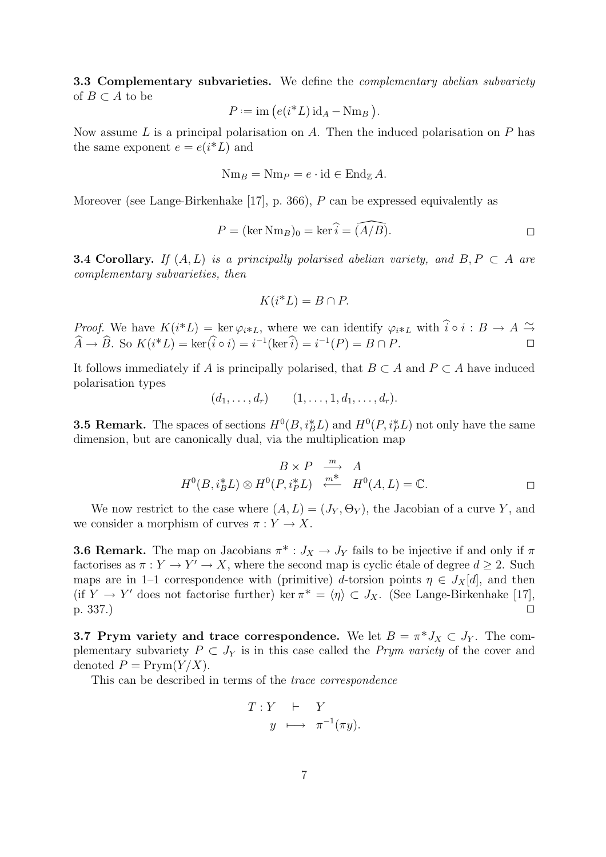**3.3 Complementary subvarieties.** We define the *complementary abelian subvariety* of  $B \subset A$  to be

$$
P := \text{im}\left(e(i^*L)\,\mathrm{id}_A - \mathrm{Nm}_B\right).
$$

Now assume  $L$  is a principal polarisation on  $A$ . Then the induced polarisation on  $P$  has the same exponent  $e = e(i^*L)$  and

$$
\mathrm{Nm}_B = \mathrm{Nm}_P = e \cdot \mathrm{id} \in \mathrm{End}_{\mathbb{Z}}A.
$$

Moreover (see Lange-Birkenhake [17], p. 366), P can be expressed equivalently as

$$
P = (\ker \text{Nm}_B)_0 = \ker \hat{i} = (\widehat{A/B}).
$$

**3.4 Corollary.** If  $(A, L)$  is a principally polarised abelian variety, and  $B, P \subset A$  are complementary subvarieties, then

$$
K(i^*L) = B \cap P.
$$

*Proof.* We have  $K(i^*L) = \ker \varphi_{i^*L}$ , where we can identify  $\varphi_{i^*L}$  with  $\hat{i} \circ i : B \to A \stackrel{\sim}{\to} A$  $\widehat{A} \to \widehat{B}$ . So  $K(i^*L) = \ker(\widehat{i} \circ i) = i^{-1}(\ker \widehat{i}) = i^{-1}(P) = B \cap P$ .

It follows immediately if A is principally polarised, that  $B \subset A$  and  $P \subset A$  have induced polarisation types

$$
(d_1,\ldots,d_r) \qquad (1,\ldots,1,d_1,\ldots,d_r).
$$

**3.5 Remark.** The spaces of sections  $H^0(B, i_B^* L)$  and  $H^0(P, i_P^* L)$  not only have the same dimension, but are canonically dual, via the multiplication map

$$
B \times P \xrightarrow{m} A
$$
  

$$
H^{0}(B, i_{B}^{*}L) \otimes H^{0}(P, i_{P}^{*}L) \xrightarrow{m^{*}} H^{0}(A, L) = \mathbb{C}.
$$

We now restrict to the case where  $(A, L) = (J_Y, \Theta_Y)$ , the Jacobian of a curve Y, and we consider a morphism of curves  $\pi: Y \to X$ .

**3.6 Remark.** The map on Jacobians  $\pi^*: J_X \to J_Y$  fails to be injective if and only if  $\pi$ factorises as  $\pi : Y \to Y' \to X$ , where the second map is cyclic étale of degree  $d \geq 2$ . Such maps are in 1–1 correspondence with (primitive) d-torsion points  $\eta \in J_X[d]$ , and then (if  $Y \to Y'$  does not factorise further) ker  $\pi^* = \langle \eta \rangle \subset J_X$ . (See Lange-Birkenhake [17],  $p. 337.$ )

**3.7 Prym variety and trace correspondence.** We let  $B = \pi^* J_X \subset J_Y$ . The complementary subvariety  $P \subset J_Y$  is in this case called the *Prym variety* of the cover and denoted  $P = \text{Prym}(Y/X)$ .

This can be described in terms of the trace correspondence

$$
T: Y \quad \vdash \quad Y
$$

$$
y \quad \longmapsto \quad \pi^{-1}(\pi y).
$$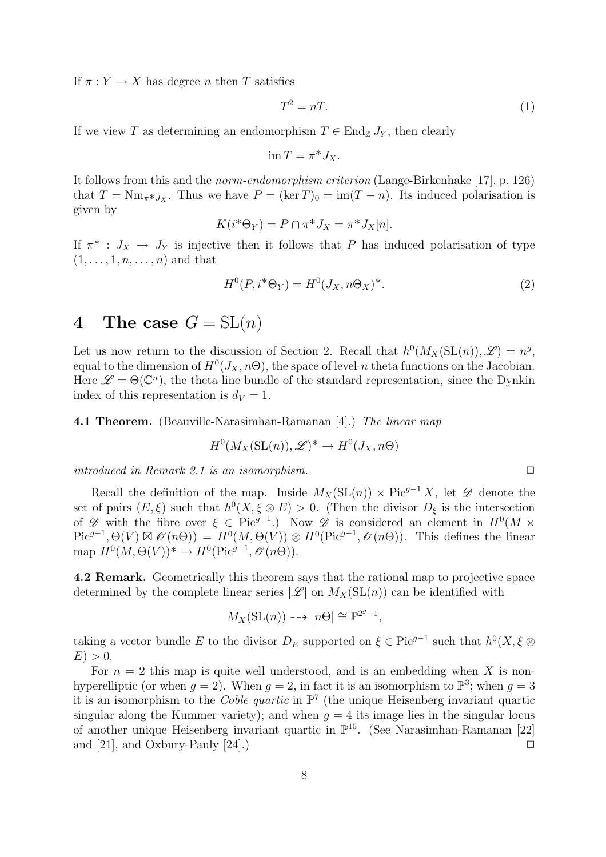If  $\pi: Y \to X$  has degree *n* then *T* satisfies

$$
T^2 = nT.\t\t(1)
$$

If we view T as determining an endomorphism  $T \in \text{End}_{\mathbb{Z}} J_Y$ , then clearly

$$
\operatorname{im} T = \pi^* J_X.
$$

It follows from this and the norm-endomorphism criterion (Lange-Birkenhake [17], p. 126) that  $T = \text{Nm}_{\pi * J_X}$ . Thus we have  $P = (\ker T)_0 = \text{im}(T - n)$ . Its induced polarisation is given by

$$
K(i^*\Theta_Y) = P \cap \pi^* J_X = \pi^* J_X[n].
$$

If  $\pi^*$ :  $J_X \to J_Y$  is injective then it follows that P has induced polarisation of type  $(1, \ldots, 1, n, \ldots, n)$  and that

$$
H^{0}(P, i^*\Theta_Y) = H^{0}(J_X, n\Theta_X)^{*}.
$$
\n<sup>(2)</sup>

### 4 The case  $G = SL(n)$

Let us now return to the discussion of Section 2. Recall that  $h^0(M_X(\mathrm{SL}(n)), \mathscr{L}) = n^g$ , equal to the dimension of  $H^0(J_X, n\Theta)$ , the space of level-n theta functions on the Jacobian. Here  $\mathscr{L} = \Theta(\mathbb{C}^n)$ , the theta line bundle of the standard representation, since the Dynkin index of this representation is  $d_V = 1$ .

**4.1 Theorem.** (Beauville-Narasimhan-Ramanan [4].) The linear map

$$
H^0(M_X(\mathrm{SL}(n)), \mathscr{L})^* \to H^0(J_X, n\Theta)
$$

introduced in Remark 2.1 is an isomorphism.

Recall the definition of the map. Inside  $M_X(\mathrm{SL}(n)) \times \mathrm{Pic}^{g-1} X$ , let  $\mathscr{D}$  denote the set of pairs  $(E, \xi)$  such that  $h^0(X, \xi \otimes E) > 0$ . (Then the divisor  $D_{\xi}$  is the intersection of  $\mathscr D$  with the fibre over  $\xi \in \text{Pic}^{g-1}$ .) Now  $\mathscr D$  is considered an element in  $H^0(M \times$  $Pic^{g-1}, \Theta(V) \boxtimes \mathscr{O}(n\Theta)) = H^{0}(M, \Theta(V)) \otimes H^{0}(Pic^{g-1}, \mathscr{O}(n\Theta)).$  This defines the linear map  $H^0(M,\Theta(V))^* \to H^0(\text{Pic}^{g-1},\mathscr{O}(n\Theta)).$ 

4.2 Remark. Geometrically this theorem says that the rational map to projective space determined by the complete linear series  $|\mathscr{L}|$  on  $M_X(\mathrm{SL}(n))$  can be identified with

$$
M_X(\mathrm{SL}(n)) \dashrightarrow |n\Theta| \cong \mathbb{P}^{2g-1},
$$

taking a vector bundle E to the divisor  $D_E$  supported on  $\xi \in \text{Pic}^{g-1}$  such that  $h^0(X, \xi \otimes$  $E$ ) > 0.

For  $n = 2$  this map is quite well understood, and is an embedding when X is nonhyperelliptic (or when  $g = 2$ ). When  $g = 2$ , in fact it is an isomorphism to  $\mathbb{P}^3$ ; when  $g = 3$ it is an isomorphism to the *Coble quartic* in  $\mathbb{P}^7$  (the unique Heisenberg invariant quartic singular along the Kummer variety); and when  $q = 4$  its image lies in the singular locus of another unique Heisenberg invariant quartic in P 15 . (See Narasimhan-Ramanan [22] and [21], and Oxbury-Pauly [24].)  $\Box$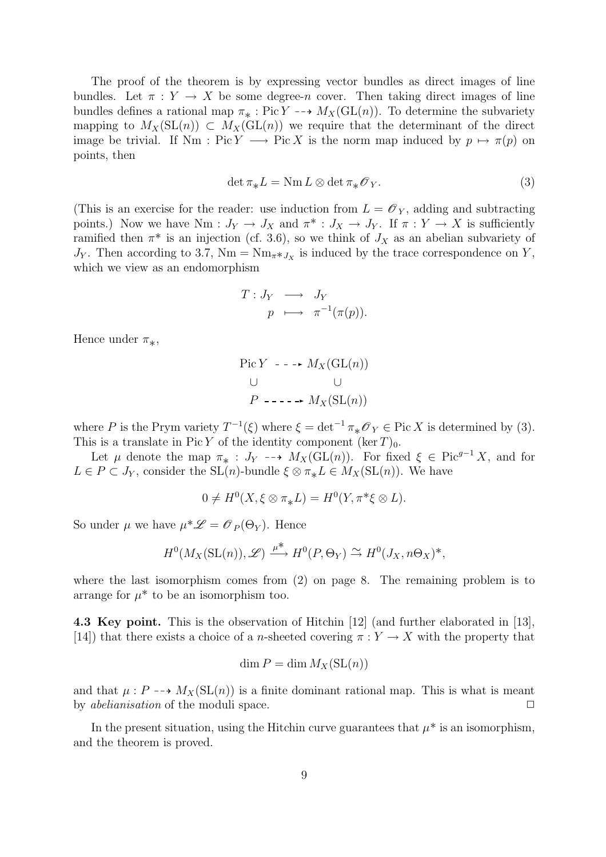The proof of the theorem is by expressing vector bundles as direct images of line bundles. Let  $\pi : Y \to X$  be some degree-n cover. Then taking direct images of line bundles defines a rational map  $\pi_* : Pic Y \dashrightarrow M_X(\mathrm{GL}(n))$ . To determine the subvariety mapping to  $M_X(\mathrm{SL}(n)) \subset M_X(\mathrm{GL}(n))$  we require that the determinant of the direct image be trivial. If Nm : Pic Y  $\longrightarrow$  Pic X is the norm map induced by  $p \mapsto \pi(p)$  on points, then

$$
\det \pi_* L = \text{Nm}\,L \otimes \det \pi_* \mathscr{O}_Y. \tag{3}
$$

(This is an exercise for the reader: use induction from  $L = \mathscr{O}_Y$ , adding and subtracting points.) Now we have Nm :  $J_Y \to J_X$  and  $\pi^* : J_X \to J_Y$ . If  $\pi : Y \to X$  is sufficiently ramified then  $\pi^*$  is an injection (cf. 3.6), so we think of  $J_X$  as an abelian subvariety of  $J_Y$ . Then according to 3.7, Nm = Nm<sub>π</sub>\* $J_X$  is induced by the trace correspondence on Y, which we view as an endomorphism

$$
T: J_Y \longrightarrow J_Y
$$
  
\n
$$
p \longmapsto \pi^{-1}(\pi(p)).
$$

Hence under  $\pi_*,$ 

Pic Y - - → 
$$
M_X(\text{GL}(n))
$$
  
\n∪ ∪  
\nP - - - →  $M_X(\text{SL}(n))$ 

where P is the Prym variety  $T^{-1}(\xi)$  where  $\xi = \det^{-1} \pi_* \mathscr{O}_Y \in \text{Pic } X$  is determined by (3). This is a translate in Pic Y of the identity component  $(\ker T)_0$ .

Let  $\mu$  denote the map  $\pi_*$ :  $J_Y \dashrightarrow M_X(\mathrm{GL}(n))$ . For fixed  $\xi \in \mathrm{Pic}^{g-1} X$ , and for  $L \in P \subset J_Y$ , consider the SL(n)-bundle  $\xi \otimes \pi_* L \in M_X(\mathrm{SL}(n))$ . We have

$$
0 \neq H^0(X, \xi \otimes \pi_* L) = H^0(Y, \pi^* \xi \otimes L).
$$

So under  $\mu$  we have  $\mu^* \mathscr{L} = \mathscr{O}_P(\Theta_Y)$ . Hence

$$
H^0(M_X(\mathrm{SL}(n)), \mathscr{L}) \xrightarrow{\mu^*} H^0(P, \Theta_Y) \xrightarrow{\sim} H^0(J_X, n\Theta_X)^*,
$$

where the last isomorphism comes from (2) on page 8. The remaining problem is to arrange for  $\mu^*$  to be an isomorphism too.

4.3 Key point. This is the observation of Hitchin [12] (and further elaborated in [13], [14]) that there exists a choice of a *n*-sheeted covering  $\pi: Y \to X$  with the property that

$$
\dim P = \dim M_X(\mathop{\rm SL}(n))
$$

and that  $\mu : P \dashrightarrow M_X(\mathrm{SL}(n))$  is a finite dominant rational map. This is what is meant by *abelianisation* of the moduli space.  $\Box$ 

In the present situation, using the Hitchin curve guarantees that  $\mu^*$  is an isomorphism, and the theorem is proved.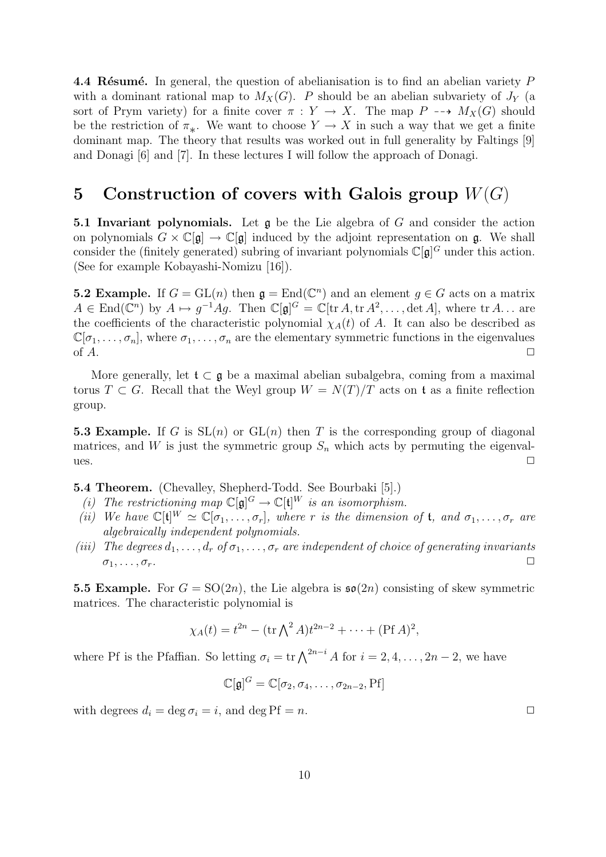4.4 Résumé. In general, the question of abelianisation is to find an abelian variety  $P$ with a dominant rational map to  $M_X(G)$ . P should be an abelian subvariety of  $J_Y$  (a sort of Prym variety) for a finite cover  $\pi : Y \to X$ . The map  $P \dashrightarrow M_X(G)$  should be the restriction of  $\pi_*$ . We want to choose  $Y \to X$  in such a way that we get a finite dominant map. The theory that results was worked out in full generality by Faltings [9] and Donagi [6] and [7]. In these lectures I will follow the approach of Donagi.

# 5 Construction of covers with Galois group  $W(G)$

**5.1 Invariant polynomials.** Let  $\mathfrak{g}$  be the Lie algebra of G and consider the action on polynomials  $G \times \mathbb{C}[\mathfrak{g}] \to \mathbb{C}[\mathfrak{g}]$  induced by the adjoint representation on  $\mathfrak{g}$ . We shall consider the (finitely generated) subring of invariant polynomials  $\mathbb{C}[\mathfrak{g}]^G$  under this action. (See for example Kobayashi-Nomizu [16]).

**5.2 Example.** If  $G = GL(n)$  then  $\mathfrak{g} = End(\mathbb{C}^n)$  and an element  $g \in G$  acts on a matrix  $A \in \text{End}(\mathbb{C}^n)$  by  $A \mapsto g^{-1}Ag$ . Then  $\mathbb{C}[\mathfrak{g}]^G = \mathbb{C}[\text{tr }A, \text{tr }A^2, \dots, \det A]$ , where  $\text{tr }A \dots$  are the coefficients of the characteristic polynomial  $\chi_A(t)$  of A. It can also be described as  $\mathbb{C}[\sigma_1,\ldots,\sigma_n]$ , where  $\sigma_1,\ldots,\sigma_n$  are the elementary symmetric functions in the eigenvalues of  $A$ .

More generally, let  $\mathfrak{t} \subset \mathfrak{g}$  be a maximal abelian subalgebra, coming from a maximal torus  $T \subset G$ . Recall that the Weyl group  $W = N(T)/T$  acts on t as a finite reflection group.

5.3 Example. If G is  $SL(n)$  or  $GL(n)$  then T is the corresponding group of diagonal matrices, and W is just the symmetric group  $S_n$  which acts by permuting the eigenvalues.  $\Box$ 

5.4 Theorem. (Chevalley, Shepherd-Todd. See Bourbaki [5].)

- (i) The restrictioning map  $\mathbb{C}[\mathfrak{g}]^G \to \mathbb{C}[\mathfrak{t}]^W$  is an isomorphism.
- (ii) We have  $\mathbb{C}[\mathfrak{t}]^W \simeq \mathbb{C}[\sigma_1,\ldots,\sigma_r]$ , where r is the dimension of **t**, and  $\sigma_1,\ldots,\sigma_r$  are algebraically independent polynomials.
- (iii) The degrees  $d_1, \ldots, d_r$  of  $\sigma_1, \ldots, \sigma_r$  are independent of choice of generating invariants  $\sigma_1, \ldots, \sigma_r.$

**5.5 Example.** For  $G = SO(2n)$ , the Lie algebra is  $\mathfrak{so}(2n)$  consisting of skew symmetric matrices. The characteristic polynomial is

$$
\chi_A(t) = t^{2n} - (\text{tr}\,\bigwedge^2 A)t^{2n-2} + \cdots + (\text{Pf}\,A)^2,
$$

where Pf is the Pfaffian. So letting  $\sigma_i = \text{tr} \bigwedge^{2n-i} A$  for  $i = 2, 4, ..., 2n - 2$ , we have

$$
\mathbb{C}[\mathfrak{g}]^G = \mathbb{C}[\sigma_2, \sigma_4, \ldots, \sigma_{2n-2}, \mathrm{Pf}]
$$

with degrees  $d_i = \deg \sigma_i = i$ , and  $\deg \text{Pf} = n$ .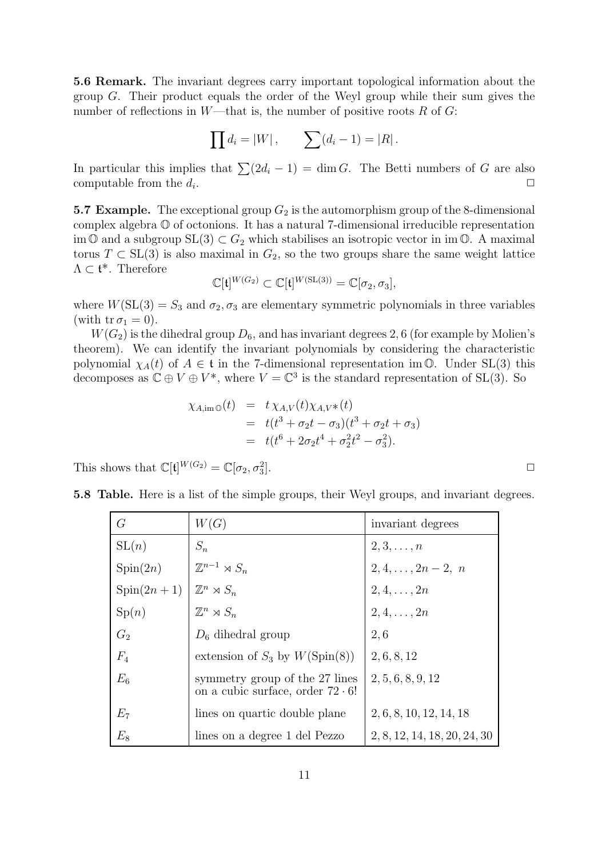5.6 Remark. The invariant degrees carry important topological information about the group G. Their product equals the order of the Weyl group while their sum gives the number of reflections in W—that is, the number of positive roots R of G:

$$
\prod d_i = |W|,
$$
  $\sum (d_i - 1) = |R|.$ 

In particular this implies that  $\sum (2d_i - 1) = \dim G$ . The Betti numbers of G are also computable from the  $d_i$ . . ✷

**5.7 Example.** The exceptional group  $G_2$  is the automorphism group of the 8-dimensional complex algebra O of octonions. It has a natural 7-dimensional irreducible representation im  $\mathbb{O}$  and a subgroup  $SL(3) \subset G_2$  which stabilises an isotropic vector in im  $\mathbb{O}$ . A maximal torus  $T \subset SL(3)$  is also maximal in  $G_2$ , so the two groups share the same weight lattice  $\Lambda \subset \mathfrak{t}^*$ . Therefore

$$
\mathbb{C}[\mathfrak{t}]^{W(G_2)} \subset \mathbb{C}[\mathfrak{t}]^{W(\mathrm{SL}(3))} = \mathbb{C}[\sigma_2, \sigma_3],
$$

where  $W(SL(3) = S_3$  and  $\sigma_2, \sigma_3$  are elementary symmetric polynomials in three variables (with  $tr \sigma_1 = 0$ ).

 $W(G_2)$  is the dihedral group  $D_6$ , and has invariant degrees 2, 6 (for example by Molien's theorem). We can identify the invariant polynomials by considering the characteristic polynomial  $\chi_A(t)$  of  $A \in \mathfrak{t}$  in the 7-dimensional representation im  $\mathbb{O}$ . Under SL(3) this decomposes as  $\mathbb{C} \oplus V \oplus V^*$ , where  $V = \mathbb{C}^3$  is the standard representation of SL(3). So

$$
\chi_{A,\text{im}\,\mathbb{O}}(t) = t \chi_{A,V}(t) \chi_{A,V^*}(t)
$$
  
=  $t(t^3 + \sigma_2 t - \sigma_3)(t^3 + \sigma_2 t + \sigma_3)$   
=  $t(t^6 + 2\sigma_2 t^4 + \sigma_2^2 t^2 - \sigma_3^2).$ 

This shows that  $\mathbb{C}[\mathfrak{t}]^{W(G_2)} = \mathbb{C}[\sigma_2, \sigma_3^2]$ 

| G            | W(G)                                                                      | invariant degrees            |
|--------------|---------------------------------------------------------------------------|------------------------------|
| SL(n)        | $S_n$                                                                     | $2,3,\ldots,n$               |
| Spin(2n)     | $\mathbb{Z}^{n-1} \rtimes S_n$                                            | $2, 4, \ldots, 2n-2, n$      |
| $Spin(2n+1)$ | $\mathbb{Z}^n \rtimes S_n$                                                | $2, 4, \ldots, 2n$           |
| Sp(n)        | $\mathbb{Z}^n \rtimes S_n$                                                | $2, 4, \ldots, 2n$           |
| $G_2$        | $D_6$ dihedral group                                                      | 2.6                          |
| $F_4$        | extension of $S_3$ by $W(\text{Spin}(8))$                                 | 2, 6, 8, 12                  |
| $E_6$        | symmetry group of the 27 lines<br>on a cubic surface, order $72 \cdot 6!$ | 2, 5, 6, 8, 9, 12            |
| $E_7$        | lines on quartic double plane                                             | 2, 6, 8, 10, 12, 14, 18      |
| $E_8$        | lines on a degree 1 del Pezzo                                             | 2, 8, 12, 14, 18, 20, 24, 30 |

5.8 Table. Here is a list of the simple groups, their Weyl groups, and invariant degrees.

 $\Box$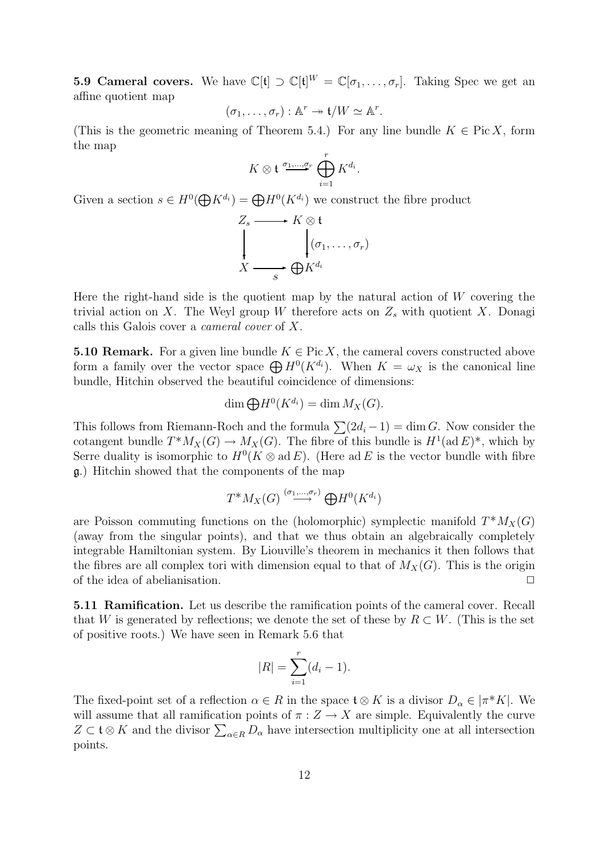**5.9 Cameral covers.** We have  $\mathbb{C}[\mathfrak{t}] \supset \mathbb{C}[\mathfrak{t}]^W = \mathbb{C}[\sigma_1, \ldots, \sigma_r]$ . Taking Spec we get an affine quotient map

$$
(\sigma_1,\ldots,\sigma_r): \mathbb{A}^r \to \mathfrak{t}/W \simeq \mathbb{A}^r.
$$

(This is the geometric meaning of Theorem 5.4.) For any line bundle  $K \in Pic X$ , form the map

$$
K \otimes \mathfrak{t} \xrightarrow{\sigma_1, \dots, \sigma_r} \bigoplus_{i=1}^r K^{d_i}.
$$

Given a section  $s \in H^0(\bigoplus K^{d_i}) = \bigoplus H^0(K^{d_i})$  we construct the fibre product

$$
Z_s \longrightarrow K \otimes \mathfrak{t}
$$
  
\n
$$
\downarrow \qquad \qquad (\sigma_1, \ldots, \sigma_r)
$$
  
\n
$$
X \longrightarrow s \oplus K^{d_i}
$$

Here the right-hand side is the quotient map by the natural action of  $W$  covering the trivial action on X. The Weyl group W therefore acts on  $Z_s$  with quotient X. Donagi calls this Galois cover a cameral cover of X.

**5.10 Remark.** For a given line bundle  $K \in \text{Pic } X$ , the cameral covers constructed above form a family over the vector space  $\bigoplus H^0(K^{d_i})$ . When  $K = \omega_X$  is the canonical line bundle, Hitchin observed the beautiful coincidence of dimensions:

$$
\dim \bigoplus H^0(K^{d_i}) = \dim M_X(G).
$$

This follows from Riemann-Roch and the formula  $\sum(2d_i - 1) = \dim G$ . Now consider the cotangent bundle  $T^*M_X(G) \to M_X(G)$ . The fibre of this bundle is  $H^1(\text{ad }E)^*$ , which by Serre duality is isomorphic to  $H^0(K \otimes ad E)$ . (Here ad E is the vector bundle with fibre g.) Hitchin showed that the components of the map

$$
T^*M_X(G) \stackrel{(\sigma_1,\ldots,\sigma_r)}{\longrightarrow} \bigoplus H^0(K^{d_i})
$$

are Poisson commuting functions on the (holomorphic) symplectic manifold  $T^*M_X(G)$ (away from the singular points), and that we thus obtain an algebraically completely integrable Hamiltonian system. By Liouville's theorem in mechanics it then follows that the fibres are all complex tori with dimension equal to that of  $M_X(G)$ . This is the origin of the idea of abelianisation.  $\Box$ 

5.11 Ramification. Let us describe the ramification points of the cameral cover. Recall that W is generated by reflections; we denote the set of these by  $R \subset W$ . (This is the set of positive roots.) We have seen in Remark 5.6 that

$$
|R| = \sum_{i=1}^{r} (d_i - 1).
$$

The fixed-point set of a reflection  $\alpha \in R$  in the space  $\mathfrak{t} \otimes K$  is a divisor  $D_{\alpha} \in |\pi^*K|$ . We will assume that all ramification points of  $\pi: Z \to X$  are simple. Equivalently the curve  $Z \subset \mathfrak{t} \otimes K$  and the divisor  $\sum_{\alpha \in R} D_{\alpha}$  have intersection multiplicity one at all intersection points.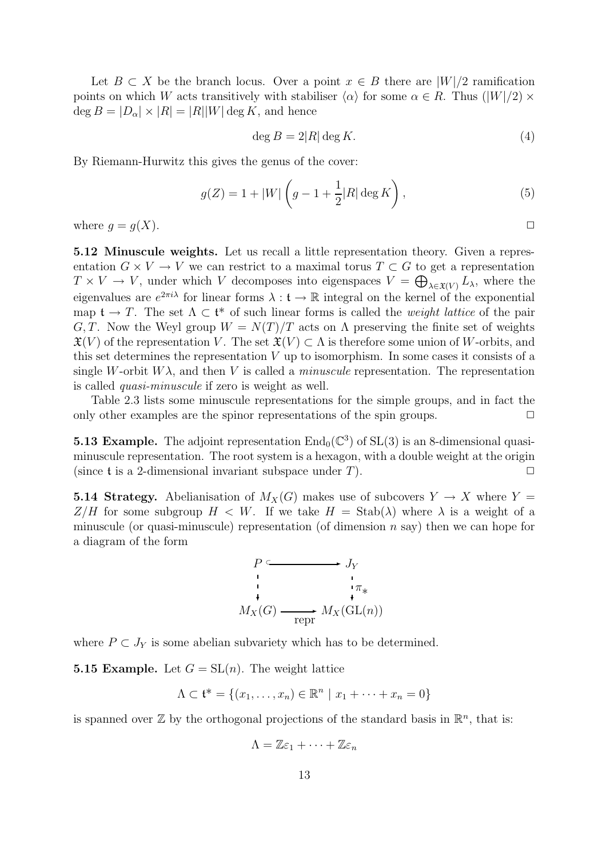Let  $B \subset X$  be the branch locus. Over a point  $x \in B$  there are  $|W|/2$  ramification points on which W acts transitively with stabiliser  $\langle \alpha \rangle$  for some  $\alpha \in R$ . Thus  $(|W|/2) \times$  $\deg B = |D_{\alpha}| \times |R| = |R||W| \deg K$ , and hence

$$
\deg B = 2|R| \deg K. \tag{4}
$$

By Riemann-Hurwitz this gives the genus of the cover:

$$
g(Z) = 1 + |W| \left( g - 1 + \frac{1}{2} |R| \deg K \right),\tag{5}
$$

where  $g = g(X)$ .

5.12 Minuscule weights. Let us recall a little representation theory. Given a representation  $G \times V \to V$  we can restrict to a maximal torus  $T \subset G$  to get a representation  $T \times V \to V$ , under which V decomposes into eigenspaces  $V = \bigoplus_{\lambda \in \mathfrak{X}(V)} L_{\lambda}$ , where the eigenvalues are  $e^{2\pi i\lambda}$  for linear forms  $\lambda : \mathfrak{t} \to \mathbb{R}$  integral on the kernel of the exponential map  $\mathfrak{t} \to T$ . The set  $\Lambda \subset \mathfrak{t}^*$  of such linear forms is called the *weight lattice* of the pair G, T. Now the Weyl group  $W = N(T)/T$  acts on  $\Lambda$  preserving the finite set of weights  $\mathfrak{X}(V)$  of the representation V. The set  $\mathfrak{X}(V) \subset \Lambda$  is therefore some union of W-orbits, and this set determines the representation  $V$  up to isomorphism. In some cases it consists of a single W-orbit  $W\lambda$ , and then V is called a *minuscule* representation. The representation is called quasi-minuscule if zero is weight as well.

Table 2.3 lists some minuscule representations for the simple groups, and in fact the only other examples are the spinor representations of the spin groups.  $\Box$ 

**5.13 Example.** The adjoint representation  $\text{End}_{0}(\mathbb{C}^{3})$  of  $\text{SL}(3)$  is an 8-dimensional quasiminuscule representation. The root system is a hexagon, with a double weight at the origin (since t is a 2-dimensional invariant subspace under T).  $\Box$ 

**5.14 Strategy.** Abelianisation of  $M_X(G)$  makes use of subcovers  $Y \to X$  where  $Y =$  $Z/H$  for some subgroup  $H < W$ . If we take  $H = \text{Stab}(\lambda)$  where  $\lambda$  is a weight of a minuscule (or quasi-minuscule) representation (of dimension  $n$  say) then we can hope for a diagram of the form



where  $P \subset J_Y$  is some abelian subvariety which has to be determined.

**5.15 Example.** Let  $G = SL(n)$ . The weight lattice

$$
\Lambda \subset \mathfrak{t}^* = \{(x_1, \dots, x_n) \in \mathbb{R}^n \mid x_1 + \dots + x_n = 0\}
$$

is spanned over  $\mathbb{Z}$  by the orthogonal projections of the standard basis in  $\mathbb{R}^n$ , that is:

$$
\Lambda = \mathbb{Z}\varepsilon_1 + \cdots + \mathbb{Z}\varepsilon_n
$$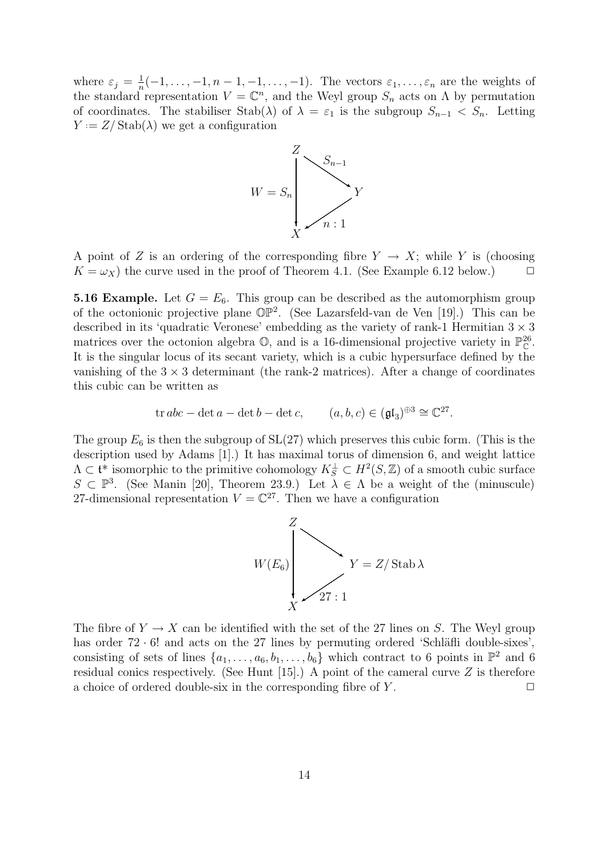where  $\varepsilon_j = \frac{1}{n}$  $\frac{1}{n}(-1,\ldots,-1,n-1,-1,\ldots,-1)$ . The vectors  $\varepsilon_1,\ldots,\varepsilon_n$  are the weights of the standard representation  $V = \mathbb{C}^n$ , and the Weyl group  $S_n$  acts on  $\Lambda$  by permutation of coordinates. The stabiliser Stab( $\lambda$ ) of  $\lambda = \varepsilon_1$  is the subgroup  $S_{n-1} < S_n$ . Letting  $Y = Z / \text{Stab}(\lambda)$  we get a configuration



A point of Z is an ordering of the corresponding fibre  $Y \to X$ ; while Y is (choosing  $K = \omega_X$ ) the curve used in the proof of Theorem 4.1. (See Example 6.12 below.)  $\Box$ 

**5.16 Example.** Let  $G = E_6$ . This group can be described as the automorphism group of the octonionic projective plane  $\mathbb{OP}^2$ . (See Lazarsfeld-van de Ven [19].) This can be described in its 'quadratic Veronese' embedding as the variety of rank-1 Hermitian  $3 \times 3$ matrices over the octonion algebra  $\mathbb{O}$ , and is a 16-dimensional projective variety in  $\mathbb{P}_{\mathbb{C}}^{26}$ . It is the singular locus of its secant variety, which is a cubic hypersurface defined by the vanishing of the  $3 \times 3$  determinant (the rank-2 matrices). After a change of coordinates this cubic can be written as

$$
\operatorname{tr} abc - \det a - \det b - \det c, \qquad (a, b, c) \in (\mathfrak{gl}_3)^{\oplus 3} \cong \mathbb{C}^{27}.
$$

The group  $E_6$  is then the subgroup of  $SL(27)$  which preserves this cubic form. (This is the description used by Adams [1].) It has maximal torus of dimension 6, and weight lattice  $\Lambda \subset \mathfrak{t}^*$  isomorphic to the primitive cohomology  $K_S^{\perp} \subset H^2(S, \mathbb{Z})$  of a smooth cubic surface  $S \subset \mathbb{P}^3$ . (See Manin [20], Theorem 23.9.) Let  $\lambda \in \Lambda$  be a weight of the (minuscule) 27-dimensional representation  $V = \mathbb{C}^{27}$ . Then we have a configuration



The fibre of  $Y \to X$  can be identified with the set of the 27 lines on S. The Weyl group has order  $72 \cdot 6!$  and acts on the 27 lines by permuting ordered 'Schläfli double-sixes', consisting of sets of lines  $\{a_1, \ldots, a_6, b_1, \ldots, b_6\}$  which contract to 6 points in  $\mathbb{P}^2$  and 6 residual conics respectively. (See Hunt  $[15]$ .) A point of the cameral curve Z is therefore a choice of ordered double-six in the corresponding fibre of  $Y$ .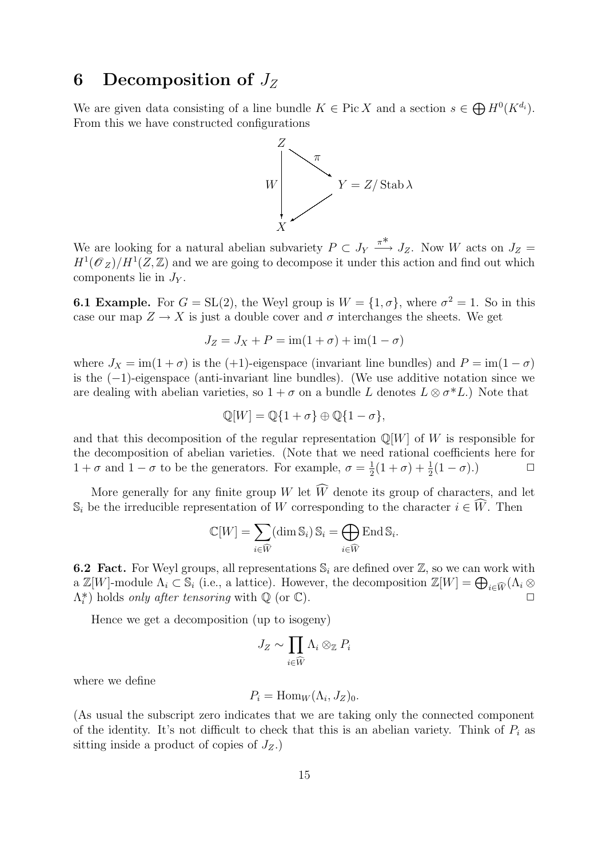# 6 Decomposition of  $J_Z$

We are given data consisting of a line bundle  $K \in Pic X$  and a section  $s \in \bigoplus H^0(K^{d_i})$ . From this we have constructed configurations



We are looking for a natural abelian subvariety  $P \subset J_Y$ π∗  $\stackrel{\pi}{\longrightarrow} J_Z$ . Now W acts on  $J_Z =$  $H^1(\mathscr{O}_Z)/H^1(Z,\mathbb{Z})$  and we are going to decompose it under this action and find out which components lie in  $J_Y$ .

**6.1 Example.** For  $G = SL(2)$ , the Weyl group is  $W = \{1, \sigma\}$ , where  $\sigma^2 = 1$ . So in this case our map  $Z \to X$  is just a double cover and  $\sigma$  interchanges the sheets. We get

$$
J_Z = J_X + P = \text{im}(1 + \sigma) + \text{im}(1 - \sigma)
$$

where  $J_X = \text{im}(1+\sigma)$  is the (+1)-eigenspace (invariant line bundles) and  $P = \text{im}(1-\sigma)$ is the (−1)-eigenspace (anti-invariant line bundles). (We use additive notation since we are dealing with abelian varieties, so  $1 + \sigma$  on a bundle L denotes  $L \otimes \sigma^* L$ .) Note that

$$
\mathbb{Q}[W] = \mathbb{Q}\{1+\sigma\} \oplus \mathbb{Q}\{1-\sigma\},
$$

and that this decomposition of the regular representation  $\mathbb{Q}[W]$  of W is responsible for the decomposition of abelian varieties. (Note that we need rational coefficients here for  $1 + \sigma$  and  $1 - \sigma$  to be the generators. For example,  $\sigma = \frac{1}{2}$  $\frac{1}{2}(1+\sigma)+\frac{1}{2}$  $\frac{1}{2}(1-\sigma).$ 

More generally for any finite group W let  $\widehat{W}$  denote its group of characters, and let  $\mathbb{S}_i$  be the irreducible representation of W corresponding to the character  $i \in \hat{W}$ . Then

$$
\mathbb{C}[W] = \sum_{i \in \widehat{W}} (\dim \mathbb{S}_i) \, \mathbb{S}_i = \bigoplus_{i \in \widehat{W}} \mathrm{End} \, \mathbb{S}_i.
$$

**6.2 Fact.** For Weyl groups, all representations  $\mathbb{S}_i$  are defined over  $\mathbb{Z}$ , so we can work with a  $\mathbb{Z}[W]$ -module  $\Lambda_i \subset \mathbb{S}_i$  (i.e., a lattice). However, the decomposition  $\mathbb{Z}[W] = \bigoplus_{i \in \widehat{W}} (\Lambda_i \otimes$  $(\Lambda_i^*)$  holds only after tensoring with  $\mathbb Q$  (or  $\mathbb C$ ).

Hence we get a decomposition (up to isogeny)

$$
J_Z \sim \prod_{i \in \widehat{W}} \Lambda_i \otimes_{\mathbb{Z}} P_i
$$

where we define

$$
P_i = \text{Hom}_W(\Lambda_i, J_Z)_0.
$$

(As usual the subscript zero indicates that we are taking only the connected component of the identity. It's not difficult to check that this is an abelian variety. Think of  $P_i$  as sitting inside a product of copies of  $J_Z$ .)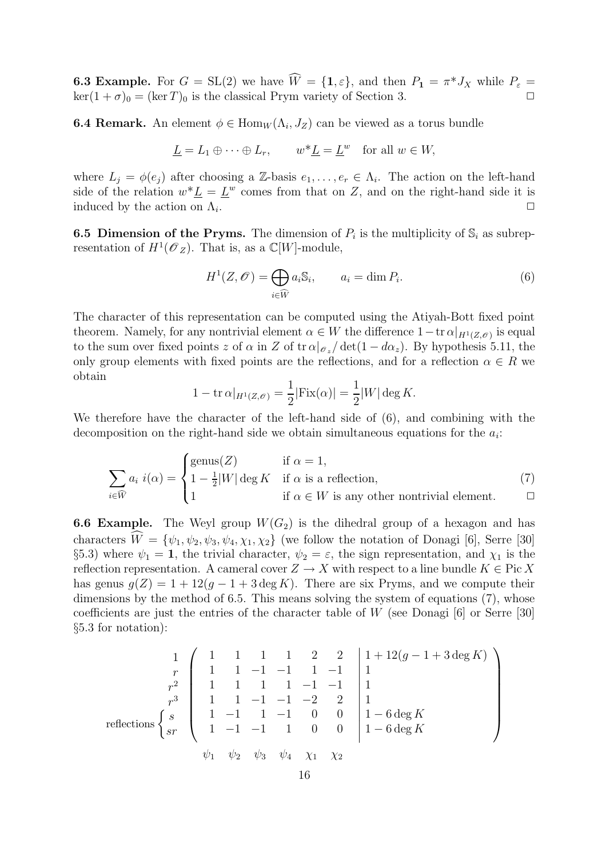**6.3 Example.** For  $G = SL(2)$  we have  $\widehat{W} = \{1, \varepsilon\}$ , and then  $P_1 = \pi^* J_X$  while  $P_{\varepsilon} =$  $\ker(1 + \sigma)_0 = (\ker T)_0$  is the classical Prym variety of Section 3.

**6.4 Remark.** An element  $\phi \in \text{Hom}_W(\Lambda_i, J_Z)$  can be viewed as a torus bundle

$$
\underline{L} = L_1 \oplus \cdots \oplus L_r, \qquad w^* \underline{L} = \underline{L}^w \quad \text{for all } w \in W,
$$

where  $L_j = \phi(e_j)$  after choosing a Z-basis  $e_1, \ldots, e_r \in \Lambda_i$ . The action on the left-hand side of the relation  $w^*\underline{L} = \underline{L}^w$  comes from that on Z, and on the right-hand side it is induced by the action on  $\Lambda_i$ . . ✷

**6.5 Dimension of the Pryms.** The dimension of  $P_i$  is the multiplicity of  $\mathbb{S}_i$  as subrepresentation of  $H^1(\mathscr O_Z)$ . That is, as a  $\mathbb C[W]$ -module,

$$
H^{1}(Z, \mathscr{O}) = \bigoplus_{i \in \widehat{W}} a_{i} \mathbb{S}_{i}, \qquad a_{i} = \dim P_{i}.
$$
 (6)

The character of this representation can be computed using the Atiyah-Bott fixed point theorem. Namely, for any nontrivial element  $\alpha \in W$  the difference  $1 - \text{tr } \alpha|_{H^1(Z,\mathscr{O})}$  is equal to the sum over fixed points z of  $\alpha$  in Z of tr  $\alpha|_{\mathcal{O}_z}/\det(1 - d\alpha_z)$ . By hypothesis 5.11, the only group elements with fixed points are the reflections, and for a reflection  $\alpha \in R$  we obtain

$$
1 - \operatorname{tr} \alpha|_{H^1(Z, \mathscr{O})} = \frac{1}{2} |\operatorname{Fix}(\alpha)| = \frac{1}{2}|W| \deg K.
$$

We therefore have the character of the left-hand side of (6), and combining with the decomposition on the right-hand side we obtain simultaneous equations for the  $a_i$ :

$$
\sum_{i \in \widehat{W}} a_i \ i(\alpha) = \begin{cases} \text{genus}(Z) & \text{if } \alpha = 1, \\ 1 - \frac{1}{2}|W| \deg K & \text{if } \alpha \text{ is a reflection,} \\ 1 & \text{if } \alpha \in W \text{ is any other nontrivial element.} \end{cases} \tag{7}
$$

**6.6 Example.** The Weyl group  $W(G_2)$  is the dihedral group of a hexagon and has characters  $\hat{W} = {\psi_1, \psi_2, \psi_3, \psi_4, \chi_1, \chi_2}$  (we follow the notation of Donagi [6], Serre [30] §5.3) where  $\psi_1 = 1$ , the trivial character,  $\psi_2 = \varepsilon$ , the sign representation, and  $\chi_1$  is the reflection representation. A cameral cover  $Z \to X$  with respect to a line bundle  $K \in \text{Pic } X$ has genus  $g(Z) = 1 + 12(g - 1 + 3 \deg K)$ . There are six Pryms, and we compute their dimensions by the method of 6.5. This means solving the system of equations (7), whose coefficients are just the entries of the character table of W (see Donagi [6] or Serre [30] §5.3 for notation):

$$
\begin{array}{c|cccccc}\n & 1 & 1 & 1 & 1 & 2 & 2 & 1+12(g-1+3\deg K) \\
\hline\nr & 1 & 1 & -1 & -1 & 1 & -1 & 1 \\
r^2 & 1 & 1 & 1 & -1 & -1 & 1 & 1 \\
r^3 & 1 & 1 & -1 & -1 & -2 & 2 & 1 \\
r^4 & 1 & -1 & 1 & -1 & 0 & 0 & 1-6\deg K \\
\hline\n\text{reflections} & \begin{cases}\ns \\
s \\
sr\n\end{cases} & 1 & -1 & -1 & 1 & 0 & 0 \\
1 & -1 & -1 & 1 & 0 & 0 \\
\psi_1 & \psi_2 & \psi_3 & \psi_4 & \chi_1 & \chi_2\n\end{cases}\n\end{array}
$$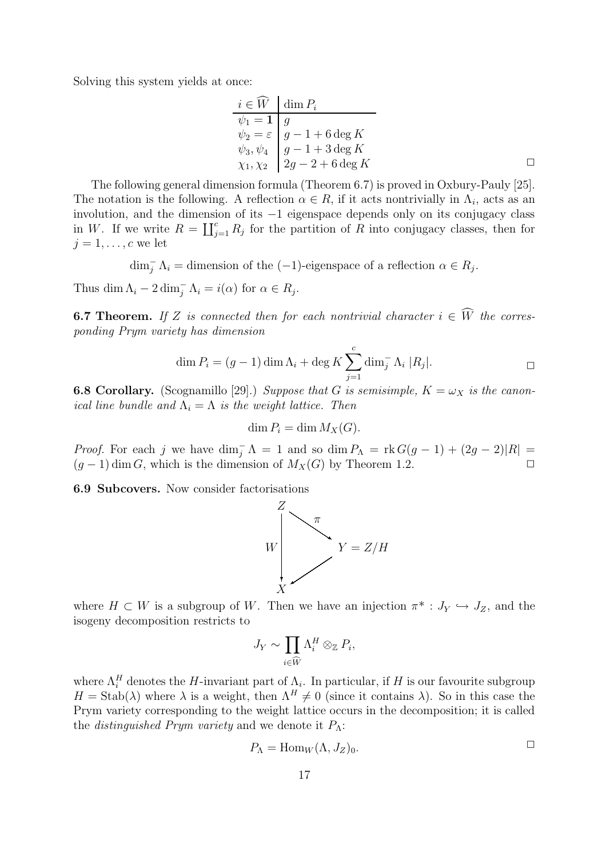Solving this system yields at once:

$$
\begin{array}{ll}\ni \in \widehat{W} & \dim P_i \\
\psi_1 = 1 & g \\
\psi_2 = \varepsilon & g - 1 + 6 \deg K \\
\psi_3, \psi_4 & g - 1 + 3 \deg K \\
\chi_1, \chi_2 & 2g - 2 + 6 \deg K\n\end{array} \square
$$

The following general dimension formula (Theorem 6.7) is proved in Oxbury-Pauly [25]. The notation is the following. A reflection  $\alpha \in R$ , if it acts nontrivially in  $\Lambda_i$ , acts as an involution, and the dimension of its −1 eigenspace depends only on its conjugacy class in W. If we write  $R = \coprod_{j=1}^{c} R_j$  for the partition of R into conjugacy classes, then for  $j = 1, \ldots, c$  we let

 $\dim_{j}^{-} \Lambda_{i} =$  dimension of the  $(-1)$ -eigenspace of a reflection  $\alpha \in R_{j}$ .

Thus dim  $\Lambda_i - 2 \dim_j^-\Lambda_i = i(\alpha)$  for  $\alpha \in R_j$ .

**6.7 Theorem.** If Z is connected then for each nontrivial character  $i \in \widehat{W}$  the corresponding Prym variety has dimension

$$
\dim P_i = (g-1)\dim \Lambda_i + \deg K \sum_{j=1}^c \dim_j^-\Lambda_i |R_j|.
$$

**6.8 Corollary.** (Scognamillo [29].) Suppose that G is semisimple,  $K = \omega_X$  is the canonical line bundle and  $\Lambda_i = \Lambda$  is the weight lattice. Then

$$
\dim P_i = \dim M_X(G).
$$

*Proof.* For each j we have  $\dim_{\bar{j}} \Lambda = 1$  and so  $\dim P_{\Lambda} = \text{rk } G(g-1) + (2g-2)|R| =$  $(g-1)$  dim G, which is the dimension of  $M_X(G)$  by Theorem 1.2.

6.9 Subcovers. Now consider factorisations



where  $H \subset W$  is a subgroup of W. Then we have an injection  $\pi^* : J_Y \hookrightarrow J_Z$ , and the isogeny decomposition restricts to

$$
J_Y \sim \prod_{i \in \widehat{W}} \Lambda_i^H \otimes_{\mathbb{Z}} P_i,
$$

where  $\Lambda_i^H$  denotes the H-invariant part of  $\Lambda_i$ . In particular, if H is our favourite subgroup  $H = \text{Stab}(\lambda)$  where  $\lambda$  is a weight, then  $\Lambda^H \neq 0$  (since it contains  $\lambda$ ). So in this case the Prym variety corresponding to the weight lattice occurs in the decomposition; it is called the *distinguished Prym variety* and we denote it  $P_{\Lambda}$ :

$$
P_{\Lambda} = \text{Hom}_W(\Lambda, J_Z)_0. \qquad \qquad \Box
$$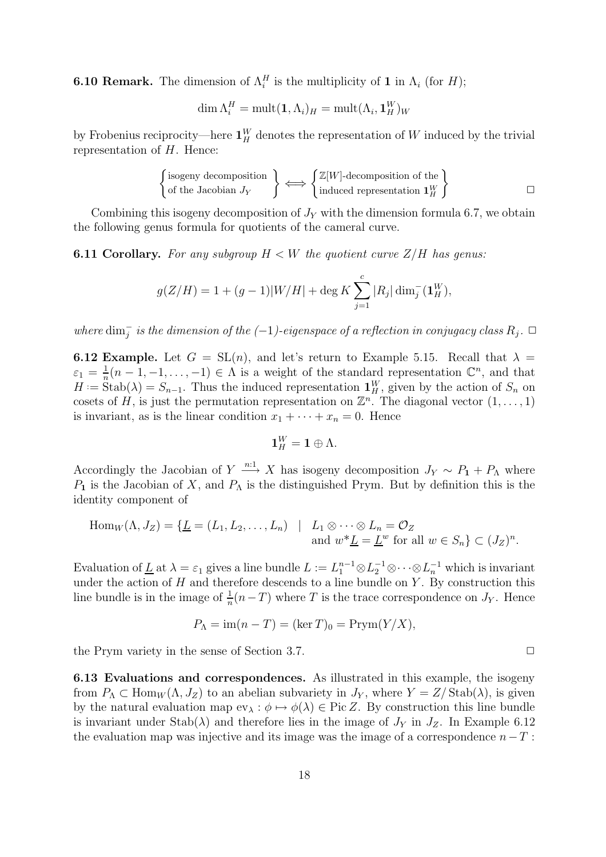**6.10 Remark.** The dimension of  $\Lambda_i^H$  is the multiplicity of 1 in  $\Lambda_i$  (for H);

$$
\dim \Lambda_i^H = \text{mult}(\mathbf{1}, \Lambda_i)_H = \text{mult}(\Lambda_i, \mathbf{1}_H^W)_W
$$

by Frobenius reciprocity—here  $\mathbf{1}_{H}^{W}$  denotes the representation of W induced by the trivial representation of  $H$ . Hence:

$$
\begin{Bmatrix} \text{isogeny decomposition} \\ \text{of the Jacobian } J_Y \end{Bmatrix} \Longleftrightarrow \begin{Bmatrix} \mathbb{Z}[W]\text{-decomposition of the} \\ \text{induced representation } \mathbf{1}_H^W \end{Bmatrix} \qquad \qquad \Box
$$

Combining this isogeny decomposition of  $J<sub>Y</sub>$  with the dimension formula 6.7, we obtain the following genus formula for quotients of the cameral curve.

**6.11 Corollary.** For any subgroup  $H \lt W$  the quotient curve  $Z/H$  has genus:

$$
g(Z/H) = 1 + (g-1)|W/H| + \deg K \sum_{j=1}^{c} |R_j| \dim_j^-(\mathbf{1}_H^W),
$$

where  $\dim_{j}^{-}$  is the dimension of the  $(-1)$ -eigenspace of a reflection in conjugacy class  $R_j$ .  $\Box$ 

**6.12 Example.** Let  $G = SL(n)$ , and let's return to Example 5.15. Recall that  $\lambda =$  $\varepsilon_1 = \frac{1}{n}$  $\frac{1}{n}(n-1,-1,\ldots,-1) \in \Lambda$  is a weight of the standard representation  $\mathbb{C}^n$ , and that  $H := \text{Stab}(\lambda) = S_{n-1}$ . Thus the induced representation  $\mathbf{1}_{H}^{W}$ , given by the action of  $S_n$  on cosets of H, is just the permutation representation on  $\mathbb{Z}^n$ . The diagonal vector  $(1,\ldots,1)$ is invariant, as is the linear condition  $x_1 + \cdots + x_n = 0$ . Hence

$$
\mathbf{1}_{H}^{W}=\mathbf{1}\oplus\Lambda.
$$

Accordingly the Jacobian of  $Y \stackrel{n:1}{\longrightarrow} X$  has isogeny decomposition  $J_Y \sim P_1 + P_\Lambda$  where  $P_1$  is the Jacobian of X, and  $P_\Lambda$  is the distinguished Prym. But by definition this is the identity component of

$$
\text{Hom}_W(\Lambda, J_Z) = \{ \underline{L} = (L_1, L_2, \dots, L_n) \mid L_1 \otimes \dots \otimes L_n = \mathcal{O}_Z \text{ and } w^* \underline{L} = \underline{L}^w \text{ for all } w \in S_n \} \subset (J_Z)^n.
$$

Evaluation of  $\underline{L}$  at  $\lambda = \varepsilon_1$  gives a line bundle  $L := L_1^{n-1} \otimes L_2^{-1} \otimes \cdots \otimes L_n^{-1}$  which is invariant under the action of  $H$  and therefore descends to a line bundle on  $Y$ . By construction this line bundle is in the image of  $\frac{1}{n}(n-T)$  where T is the trace correspondence on  $J_Y$ . Hence

$$
P_{\Lambda} = \text{im}(n - T) = (\ker T)_0 = \text{Prym}(Y/X),
$$

the Prym variety in the sense of Section 3.7.  $\Box$ 

6.13 Evaluations and correspondences. As illustrated in this example, the isogeny from  $P_{\Lambda} \subset \text{Hom}_W(\Lambda, J_Z)$  to an abelian subvariety in  $J_Y$ , where  $Y = Z/\text{Stab}(\lambda)$ , is given by the natural evaluation map  $ev_{\lambda} : \phi \mapsto \phi(\lambda) \in Pic Z$ . By construction this line bundle is invariant under Stab( $\lambda$ ) and therefore lies in the image of  $J_Y$  in  $J_Z$ . In Example 6.12 the evaluation map was injective and its image was the image of a correspondence  $n-T$ :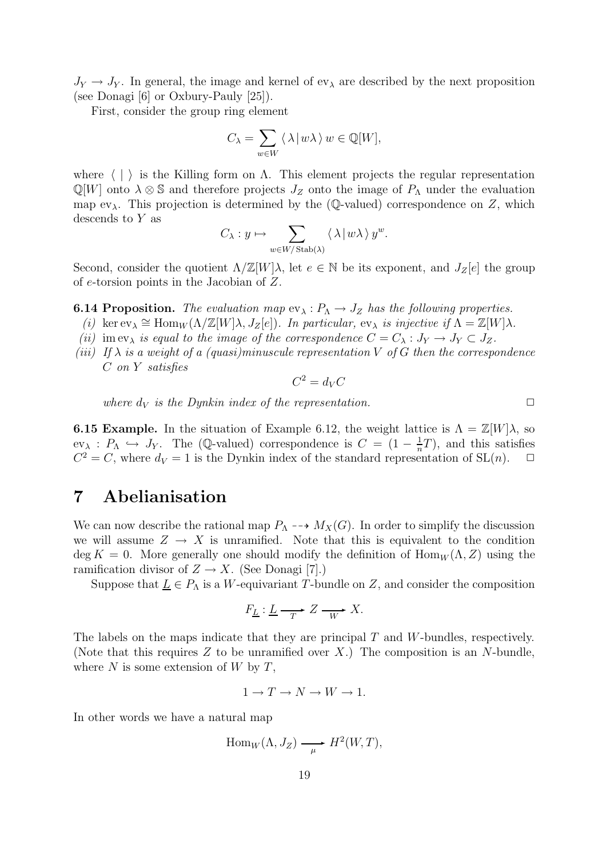$J_Y \rightarrow J_Y$ . In general, the image and kernel of  $ev_\lambda$  are described by the next proposition (see Donagi [6] or Oxbury-Pauly [25]).

First, consider the group ring element

$$
C_{\lambda} = \sum_{w \in W} \langle \lambda | w \lambda \rangle w \in \mathbb{Q}[W],
$$

where  $\langle \cdot | \cdot \rangle$  is the Killing form on  $\Lambda$ . This element projects the regular representation  $\mathbb{Q}[W]$  onto  $\lambda \otimes \mathbb{S}$  and therefore projects  $J_Z$  onto the image of  $P_{\Lambda}$  under the evaluation map ev<sub> $\lambda$ </sub>. This projection is determined by the (Q-valued) correspondence on Z, which descends to Y as

$$
C_{\lambda}: y \mapsto \sum_{w \in W/\operatorname{Stab}(\lambda)} \langle \lambda | w \lambda \rangle y^{w}.
$$

Second, consider the quotient  $\Lambda/\mathbb{Z}[W]\lambda$ , let  $e \in \mathbb{N}$  be its exponent, and  $J_Z[e]$  the group of e-torsion points in the Jacobian of Z.

**6.14 Proposition.** The evaluation map  $ev_{\lambda}: P_{\Lambda} \to J_Z$  has the following properties.

- (i) ker  $ev_{\lambda} \cong Hom_W(\Lambda/\mathbb{Z}[W]\lambda, J_Z[e])$ . In particular,  $ev_{\lambda}$  is injective if  $\Lambda = \mathbb{Z}[W]\lambda$ .
- (ii) im ev<sub> $\lambda$ </sub> is equal to the image of the correspondence  $C = C_{\lambda} : J_Y \to J_Y \subset J_Z$ .
- (iii) If  $\lambda$  is a weight of a (quasi)minuscule representation V of G then the correspondence C on Y satisfies

$$
C^2 = d_V C
$$

where  $d_V$  is the Dynkin index of the representation.

**6.15 Example.** In the situation of Example 6.12, the weight lattice is  $\Lambda = \mathbb{Z}[W]\lambda$ , so  $ev_{\lambda}: P_{\Lambda} \hookrightarrow J_Y$ . The (Q-valued) correspondence is  $C = (1 - \frac{1}{n})$  $\frac{1}{n}T$ , and this satisfies  $C^2 = C$ , where  $d_V = 1$  is the Dynkin index of the standard representation of SL(n).  $\Box$ 

## 7 Abelianisation

We can now describe the rational map  $P_\Lambda \dashrightarrow M_X(G)$ . In order to simplify the discussion we will assume  $Z \to X$  is unramified. Note that this is equivalent to the condition deg K = 0. More generally one should modify the definition of  $\text{Hom}_W(\Lambda, Z)$  using the ramification divisor of  $Z \to X$ . (See Donagi [7].)

Suppose that  $\underline{L} \in P_{\Lambda}$  is a W-equivariant T-bundle on Z, and consider the composition

$$
F_{\underline{L}}: \underline{L} \xrightarrow{\,T\,} Z \xrightarrow{\,W\,} X.
$$

The labels on the maps indicate that they are principal  $T$  and  $W$ -bundles, respectively. (Note that this requires  $Z$  to be unramified over  $X$ .) The composition is an  $N$ -bundle, where  $N$  is some extension of  $W$  by  $T$ ,

$$
1 \to T \to N \to W \to 1.
$$

In other words we have a natural map

$$
\mathrm{Hom}_W(\Lambda, J_Z) \longrightarrow H^2(W, T),
$$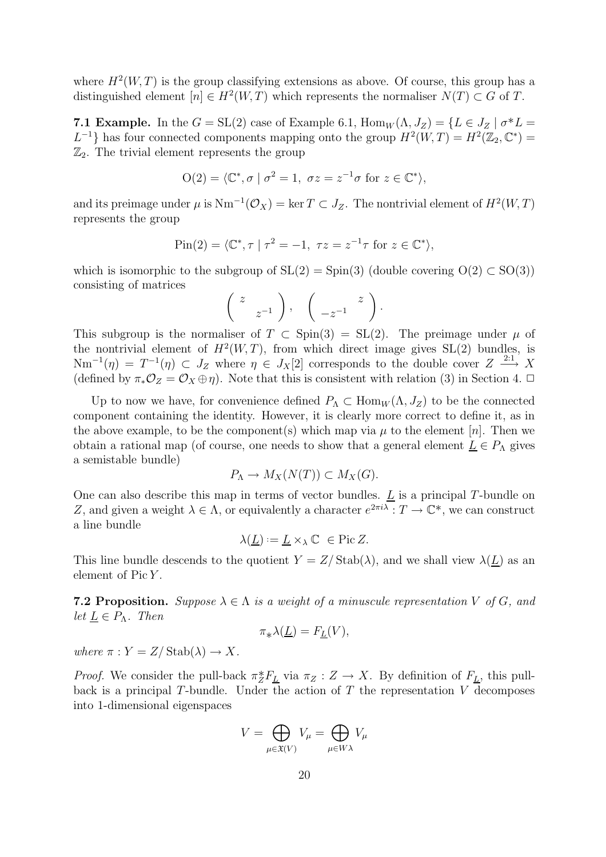where  $H^2(W,T)$  is the group classifying extensions as above. Of course, this group has a distinguished element  $[n] \in H^2(W,T)$  which represents the normaliser  $N(T) \subset G$  of T.

7.1 Example. In the  $G = SL(2)$  case of Example 6.1,  $\text{Hom}_W(\Lambda, J_Z) = \{L \in J_Z \mid \sigma^* L =$  $L^{-1}$ } has four connected components mapping onto the group  $H^2(W,T) = H^2(\mathbb{Z}_2, \mathbb{C}^*)$  $\mathbb{Z}_2$ . The trivial element represents the group

$$
O(2) = \langle \mathbb{C}^*, \sigma \mid \sigma^2 = 1, \ \sigma z = z^{-1} \sigma \text{ for } z \in \mathbb{C}^* \rangle,
$$

and its preimage under  $\mu$  is  $Nm^{-1}(\mathcal{O}_X) = \ker T \subset J_Z$ . The nontrivial element of  $H^2(W,T)$ represents the group

$$
Pin(2) = \langle \mathbb{C}^*, \tau \mid \tau^2 = -1, \ \tau z = z^{-1} \tau \text{ for } z \in \mathbb{C}^* \rangle,
$$

which is isomorphic to the subgroup of  $SL(2) = Spin(3)$  (double covering  $O(2) \subset SO(3)$ ) consisting of matrices

$$
\left(\begin{array}{cc}z & \\ & z^{-1}\end{array}\right), \quad \left(\begin{array}{cc} & z \\ -z^{-1} & \end{array}\right).
$$

This subgroup is the normaliser of  $T \text{ }\subset \text{ Spin}(3) = \text{SL}(2)$ . The preimage under  $\mu$  of the nontrivial element of  $H^2(W,T)$ , from which direct image gives  $SL(2)$  bundles, is  $\text{Nm}^{-1}(\eta) = T^{-1}(\eta) \subset J_Z$  where  $\eta \in J_X[2]$  corresponds to the double cover  $Z \stackrel{2:1}{\longrightarrow} X$ (defined by  $\pi_* \mathcal{O}_Z = \mathcal{O}_X \oplus \eta$ ). Note that this is consistent with relation (3) in Section 4.  $\Box$ 

Up to now we have, for convenience defined  $P_{\Lambda} \subset \text{Hom}_W(\Lambda, J_Z)$  to be the connected component containing the identity. However, it is clearly more correct to define it, as in the above example, to be the component(s) which map via  $\mu$  to the element [n]. Then we obtain a rational map (of course, one needs to show that a general element  $\underline{L} \in P_{\Lambda}$  gives a semistable bundle)

$$
P_{\Lambda} \to M_X(N(T)) \subset M_X(G).
$$

One can also describe this map in terms of vector bundles.  $\underline{L}$  is a principal T-bundle on Z, and given a weight  $\lambda \in \Lambda$ , or equivalently a character  $e^{2\pi i \lambda} : T \to \mathbb{C}^*$ , we can construct a line bundle

$$
\lambda(\underline{L}):=\underline{L}\times_{\lambda}\mathbb{C}\ \in \operatorname{Pic}Z.
$$

This line bundle descends to the quotient  $Y = Z/\text{Stab}(\lambda)$ , and we shall view  $\lambda(\underline{L})$  as an element of  $Pic Y$ .

**7.2 Proposition.** Suppose  $\lambda \in \Lambda$  is a weight of a minuscule representation V of G, and let  $\underline{L} \in P_{\Lambda}$ . Then

$$
\pi_*\lambda(\underline{L}) = F_{\underline{L}}(V),
$$

where  $\pi : Y = Z / \text{Stab}(\lambda) \to X$ .

*Proof.* We consider the pull-back  $\pi_Z^* F_L$  via  $\pi_Z : Z \to X$ . By definition of  $F_L$ , this pullback is a principal T-bundle. Under the action of T the representation  $V$  decomposes into 1-dimensional eigenspaces

$$
V = \bigoplus_{\mu \in \mathfrak{X}(V)} V_{\mu} = \bigoplus_{\mu \in W\lambda} V_{\mu}
$$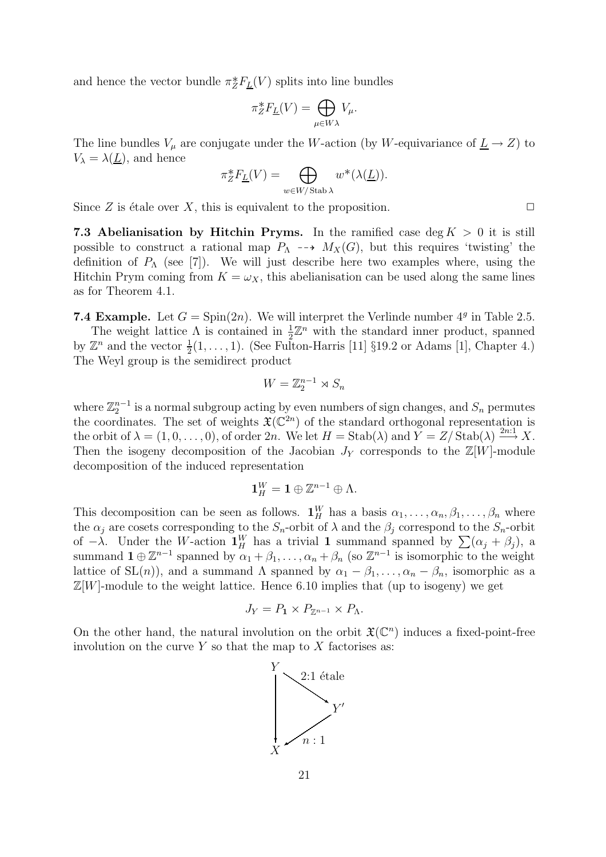and hence the vector bundle  $\pi_Z^* F_{\underline{L}}(V)$  splits into line bundles

$$
\pi_Z^* F_{\underline{L}}(V) = \bigoplus_{\mu \in W\lambda} V_{\mu}.
$$

The line bundles  $V_{\mu}$  are conjugate under the W-action (by W-equivariance of  $\underline{L} \rightarrow Z$ ) to  $V_{\lambda} = \lambda(\underline{L})$ , and hence

$$
\pi^*_ZF_{\underline{L}}(V)=\bigoplus_{w\in W/\operatorname{Stab}\lambda}w^*(\lambda(\underline{L})).
$$

Since Z is étale over X, this is equivalent to the proposition.  $\Box$ 

7.3 Abelianisation by Hitchin Pryms. In the ramified case deg  $K > 0$  it is still possible to construct a rational map  $P_{\Lambda} \dashrightarrow M_X(G)$ , but this requires 'twisting' the definition of  $P_\Lambda$  (see [7]). We will just describe here two examples where, using the Hitchin Prym coming from  $K = \omega_X$ , this abelianisation can be used along the same lines as for Theorem 4.1.

**7.4 Example.** Let  $G = Spin(2n)$ . We will interpret the Verlinde number  $4^g$  in Table 2.5.

The weight lattice  $\Lambda$  is contained in  $\frac{1}{2}\mathbb{Z}^n$  with the standard inner product, spanned by  $\mathbb{Z}^n$  and the vector  $\frac{1}{2}(1,\ldots,1)$ . (See Fulton-Harris [11] §19.2 or Adams [1], Chapter 4.) The Weyl group is the semidirect product

$$
W = \mathbb{Z}_2^{n-1} \rtimes S_n
$$

where  $\mathbb{Z}_2^{n-1}$  is a normal subgroup acting by even numbers of sign changes, and  $S_n$  permutes the coordinates. The set of weights  $\mathfrak{X}(\mathbb{C}^{2n})$  of the standard orthogonal representation is the orbit of  $\lambda = (1, 0, \ldots, 0)$ , of order  $2n$ . We let  $H = \text{Stab}(\lambda)$  and  $\widetilde{Y} = Z/\text{Stab}(\lambda) \stackrel{2n:1}{\longrightarrow} X$ . Then the isogeny decomposition of the Jacobian  $J<sub>Y</sub>$  corresponds to the  $\mathbb{Z}[W]$ -module decomposition of the induced representation

$$
\mathbf{1}_{H}^{W}=\mathbf{1}\oplus \mathbb{Z}^{n-1}\oplus \Lambda .
$$

This decomposition can be seen as follows.  $\mathbf{1}_H^W$  has a basis  $\alpha_1, \ldots, \alpha_n, \beta_1, \ldots, \beta_n$  where the  $\alpha_j$  are cosets corresponding to the  $S_n$ -orbit of  $\lambda$  and the  $\beta_j$  correspond to the  $S_n$ -orbit of  $-\lambda$ . Under the W-action  $\mathbf{1}_{H}^{W}$  has a trivial 1 summand spanned by  $\sum(\alpha_{j}+\beta_{j})$ , a summand  $\mathbf{1} \oplus \mathbb{Z}^{n-1}$  spanned by  $\alpha_1 + \beta_1, \ldots, \alpha_n + \beta_n$  (so  $\mathbb{Z}^{n-1}$  is isomorphic to the weight lattice of SL(n)), and a summand  $\Lambda$  spanned by  $\alpha_1 - \beta_1, \ldots, \alpha_n - \beta_n$ , isomorphic as a  $\mathbb{Z}[W]$ -module to the weight lattice. Hence 6.10 implies that (up to isogeny) we get

$$
J_Y = P_1 \times P_{\mathbb{Z}^{n-1}} \times P_{\Lambda}.
$$

On the other hand, the natural involution on the orbit  $\mathfrak{X}(\mathbb{C}^n)$  induces a fixed-point-free involution on the curve  $Y$  so that the map to  $X$  factorises as:

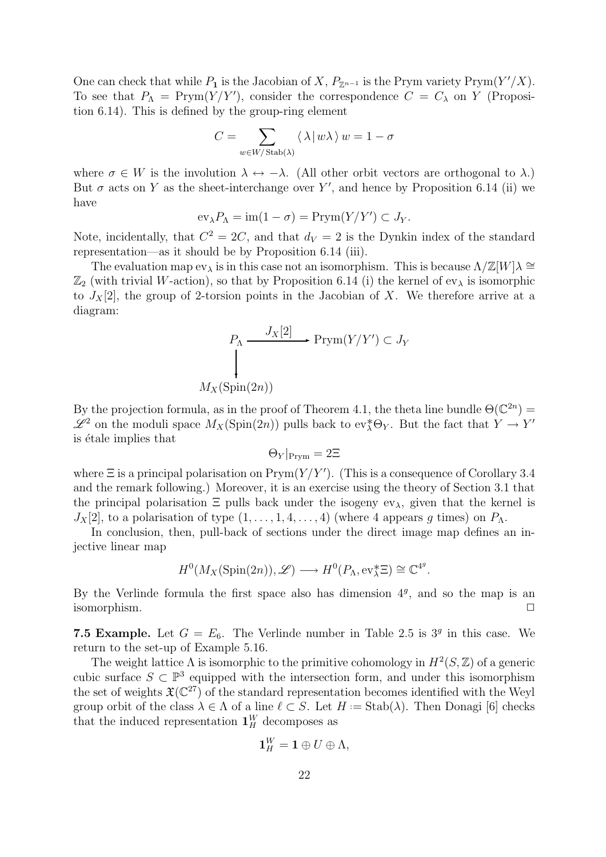One can check that while  $P_1$  is the Jacobian of X,  $P_{\mathbb{Z}^{n-1}}$  is the Prym variety Prym $(Y'/X)$ . To see that  $P_{\Lambda} = \text{Prym}(Y/Y')$ , consider the correspondence  $C = C_{\lambda}$  on Y (Proposition 6.14). This is defined by the group-ring element

$$
C = \sum_{w \in W / \operatorname{Stab}(\lambda)} \left\langle \, \lambda \, | \, w \lambda \, \right\rangle w = 1 - \sigma
$$

where  $\sigma \in W$  is the involution  $\lambda \leftrightarrow -\lambda$ . (All other orbit vectors are orthogonal to  $\lambda$ .) But  $\sigma$  acts on Y as the sheet-interchange over Y', and hence by Proposition 6.14 (ii) we have

$$
\operatorname{ev}_{\lambda} P_{\Lambda} = \operatorname{im}(1 - \sigma) = \operatorname{Prym}(Y/Y') \subset J_Y.
$$

Note, incidentally, that  $C^2 = 2C$ , and that  $d_V = 2$  is the Dynkin index of the standard representation—as it should be by Proposition 6.14 (iii).

The evaluation map  $ev_\lambda$  is in this case not an isomorphism. This is because  $\Lambda/\mathbb{Z}[W]\lambda \cong$  $\mathbb{Z}_2$  (with trivial W-action), so that by Proposition 6.14 (i) the kernel of  $ev_\lambda$  is isomorphic to  $J_X[2]$ , the group of 2-torsion points in the Jacobian of X. We therefore arrive at a diagram:

$$
P_{\Lambda} \xrightarrow{J_X[2]} \text{Prym}(Y/Y') \subset J_Y
$$
  

$$
\downarrow
$$
  

$$
M_X(\text{Spin}(2n))
$$

By the projection formula, as in the proof of Theorem 4.1, the theta line bundle  $\Theta(\mathbb{C}^{2n}) =$  $\mathscr{L}^2$  on the moduli space  $M_X(\text{Spin}(2n))$  pulls back to ev<sub> $\lambda^* \Theta_Y$ </sub>. But the fact that  $Y \to Y'$ is étale implies that

$$
\Theta_Y|_{\rm Prym} = 2\Xi
$$

where  $\Xi$  is a principal polarisation on  $\text{Prym}(Y/Y')$ . (This is a consequence of Corollary 3.4 and the remark following.) Moreover, it is an exercise using the theory of Section 3.1 that the principal polarisation  $\Xi$  pulls back under the isogeny ev<sub> $\lambda$ </sub>, given that the kernel is  $J_X[2]$ , to a polarisation of type  $(1, \ldots, 1, 4, \ldots, 4)$  (where 4 appears q times) on  $P_\Lambda$ .

In conclusion, then, pull-back of sections under the direct image map defines an injective linear map

$$
H^0(M_X(\text{Spin}(2n)), \mathscr{L}) \longrightarrow H^0(P_{\Lambda}, \text{ev}_{\lambda}^* \Xi) \cong \mathbb{C}^{4^g}.
$$

By the Verlinde formula the first space also has dimension  $4<sup>g</sup>$ , and so the map is an  $\Box$  isomorphism.

**7.5 Example.** Let  $G = E_6$ . The Verlinde number in Table 2.5 is  $3<sup>g</sup>$  in this case. We return to the set-up of Example 5.16.

The weight lattice  $\Lambda$  is isomorphic to the primitive cohomology in  $H^2(S, \mathbb{Z})$  of a generic cubic surface  $S \subset \mathbb{P}^3$  equipped with the intersection form, and under this isomorphism the set of weights  $\mathfrak{X}(\mathbb{C}^{27})$  of the standard representation becomes identified with the Weyl group orbit of the class  $\lambda \in \Lambda$  of a line  $\ell \subset S$ . Let  $H := \text{Stab}(\lambda)$ . Then Donagi [6] checks that the induced representation  $\mathbf{1}_H^W$  decomposes as

$$
\mathbf{1}_{H}^{W}=\mathbf{1}\oplus U\oplus\Lambda,
$$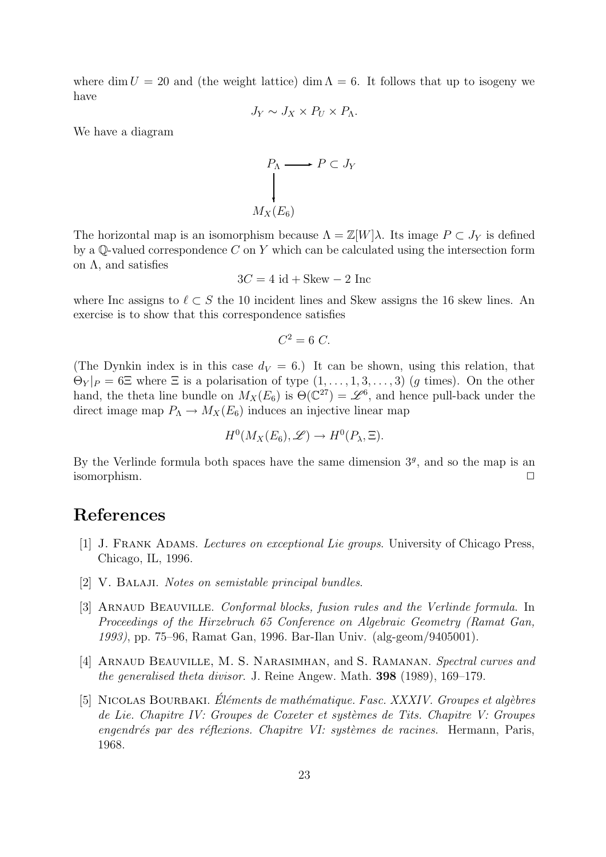where dim  $U = 20$  and (the weight lattice) dim  $\Lambda = 6$ . It follows that up to isogeny we have

$$
J_Y \sim J_X \times P_U \times P_{\Lambda}.
$$

We have a diagram

$$
P_{\Lambda} \longrightarrow P \subset J_{Y}
$$
  
\n
$$
\downarrow
$$
  
\n
$$
M_{X}(E_{6})
$$

The horizontal map is an isomorphism because  $\Lambda = \mathbb{Z}[W]\lambda$ . Its image  $P \subset J_Y$  is defined by a  $\mathbb Q$ -valued correspondence C on Y which can be calculated using the intersection form on Λ, and satisfies

$$
3C = 4 \text{ id} + \text{Skew} - 2 \text{ Inc}
$$

where Inc assigns to  $\ell \subset S$  the 10 incident lines and Skew assigns the 16 skew lines. An exercise is to show that this correspondence satisfies

$$
C^2 = 6 C.
$$

(The Dynkin index is in this case  $d_V = 6$ .) It can be shown, using this relation, that  $\Theta_Y|_P = 6\Xi$  where  $\Xi$  is a polarisation of type  $(1,\ldots,1,3,\ldots,3)$  (g times). On the other hand, the theta line bundle on  $M_X(E_6)$  is  $\Theta(\mathbb{C}^{27}) = \mathscr{L}^6$ , and hence pull-back under the direct image map  $P_{\Lambda} \to M_X(E_6)$  induces an injective linear map

$$
H^0(M_X(E_6), \mathscr{L}) \to H^0(P_\lambda, \Xi).
$$

By the Verlinde formula both spaces have the same dimension  $3<sup>g</sup>$ , and so the map is an  $\Box$  isomorphism.

# References

- [1] J. FRANK ADAMS. *Lectures on exceptional Lie groups*. University of Chicago Press, Chicago, IL, 1996.
- [2] V. BALAJI. Notes on semistable principal bundles.
- [3] ARNAUD BEAUVILLE. Conformal blocks, fusion rules and the Verlinde formula. In Proceedings of the Hirzebruch 65 Conference on Algebraic Geometry (Ramat Gan, 1993), pp. 75–96, Ramat Gan, 1996. Bar-Ilan Univ. (alg-geom/9405001).
- [4] ARNAUD BEAUVILLE, M. S. NARASIMHAN, and S. RAMANAN. Spectral curves and the generalised theta divisor. J. Reine Angew. Math. 398 (1989), 169–179.
- [5] NICOLAS BOURBAKI. Éléments de mathématique. Fasc. XXXIV. Groupes et algèbres de Lie. Chapitre IV: Groupes de Coxeter et systèmes de Tits. Chapitre V: Groupes  $enqendrés par des réflexions. Chapitre VI: systèmes de racines. Hermann, Paris,$ 1968.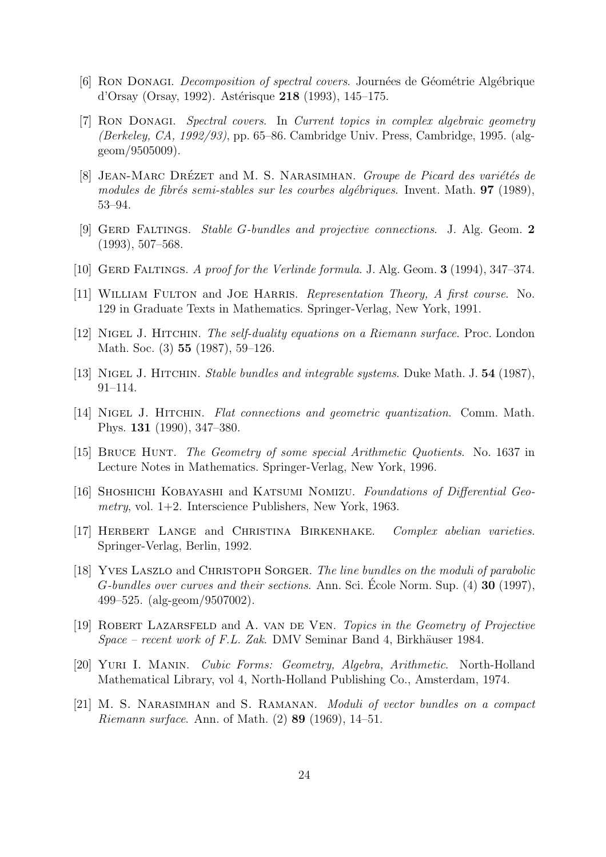- [6] RON DONAGI. *Decomposition of spectral covers.* Journées de Géométrie Algébrique d'Orsay (Orsay, 1992). Astérisque 218 (1993), 145–175.
- [7] Ron Donagi. Spectral covers. In Current topics in complex algebraic geometry (Berkeley, CA, 1992/93), pp. 65–86. Cambridge Univ. Press, Cambridge, 1995. (alggeom/9505009).
- [8] JEAN-MARC DRÉZET and M. S. NARASIMHAN. Groupe de Picard des variétés de modules de fibrés semi-stables sur les courbes algébriques. Invent. Math.  $97$  (1989), 53–94.
- [9] GERD FALTINGS. Stable G-bundles and projective connections. J. Alg. Geom. 2 (1993), 507–568.
- [10] GERD FALTINGS. A proof for the Verlinde formula. J. Alg. Geom.  $3(1994)$ ,  $347-374$ .
- [11] WILLIAM FULTON and JOE HARRIS. Representation Theory, A first course. No. 129 in Graduate Texts in Mathematics. Springer-Verlag, New York, 1991.
- [12] Nigel J. Hitchin. The self-duality equations on a Riemann surface. Proc. London Math. Soc. (3) 55 (1987), 59–126.
- [13] NIGEL J. HITCHIN. *Stable bundles and integrable systems*. Duke Math. J. 54 (1987), 91–114.
- [14] Nigel J. Hitchin. Flat connections and geometric quantization. Comm. Math. Phys. 131 (1990), 347–380.
- [15] Bruce Hunt. The Geometry of some special Arithmetic Quotients. No. 1637 in Lecture Notes in Mathematics. Springer-Verlag, New York, 1996.
- [16] Shoshichi Kobayashi and Katsumi Nomizu. Foundations of Differential Geometry, vol.  $1+2$ . Interscience Publishers, New York, 1963.
- [17] Herbert Lange and Christina Birkenhake. Complex abelian varieties. Springer-Verlag, Berlin, 1992.
- [18] YVES LASZLO and CHRISTOPH SORGER. The line bundles on the moduli of parabolic G-bundles over curves and their sections. Ann. Sci. Ecole Norm. Sup.  $(4)$  30 (1997), 499–525. (alg-geom/9507002).
- [19] Robert Lazarsfeld and A. van de Ven. Topics in the Geometry of Projective  $Space - recent work of F.L. Zak. DMV Seminar Band 4, Birkhäuser 1984.$
- [20] Yuri I. Manin. Cubic Forms: Geometry, Algebra, Arithmetic. North-Holland Mathematical Library, vol 4, North-Holland Publishing Co., Amsterdam, 1974.
- [21] M. S. Narasimhan and S. Ramanan. Moduli of vector bundles on a compact Riemann surface. Ann. of Math. (2) 89 (1969), 14–51.